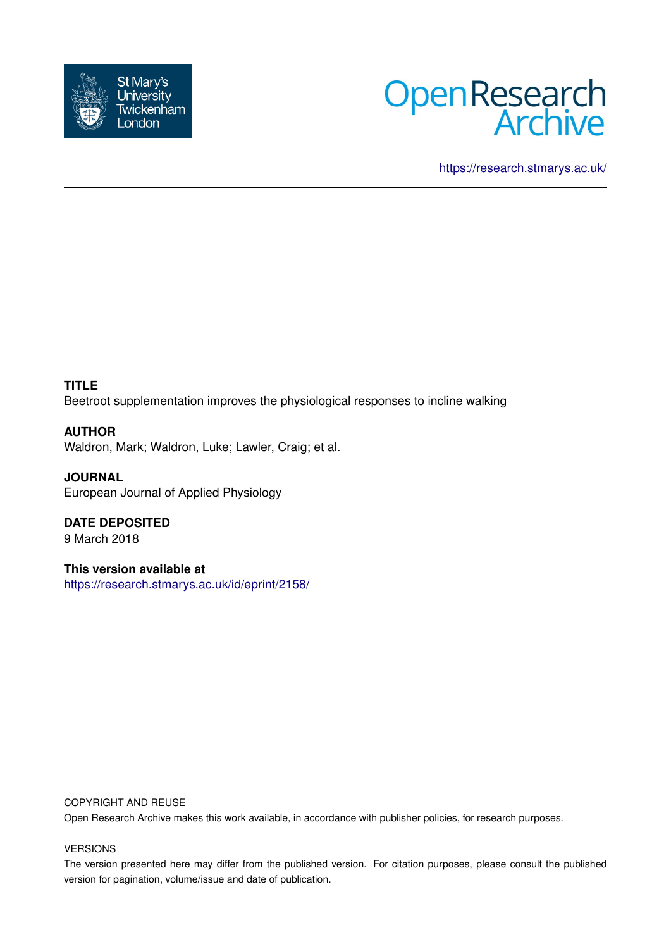



<https://research.stmarys.ac.uk/>

# **TITLE**

Beetroot supplementation improves the physiological responses to incline walking

# **AUTHOR** Waldron, Mark; Waldron, Luke; Lawler, Craig; et al.

**JOURNAL** European Journal of Applied Physiology

# **DATE DEPOSITED** 9 March 2018

**This version available at** <https://research.stmarys.ac.uk/id/eprint/2158/>

### COPYRIGHT AND REUSE

Open Research Archive makes this work available, in accordance with publisher policies, for research purposes.

# VERSIONS

The version presented here may differ from the published version. For citation purposes, please consult the published version for pagination, volume/issue and date of publication.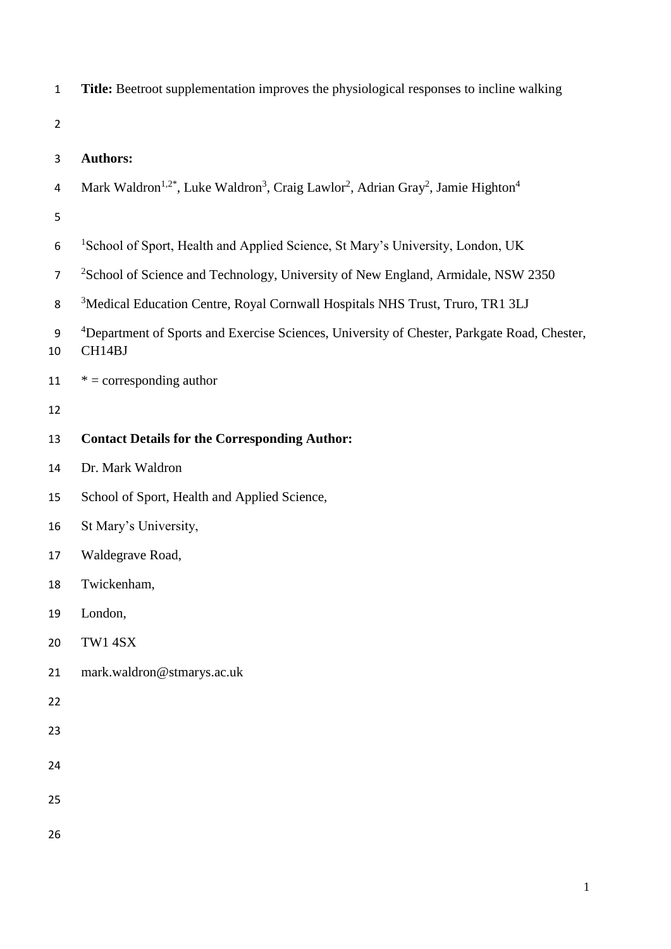| $\mathbf{1}$   | <b>Title:</b> Beetroot supplementation improves the physiological responses to incline walking                                                                                                                                    |  |  |
|----------------|-----------------------------------------------------------------------------------------------------------------------------------------------------------------------------------------------------------------------------------|--|--|
| $\overline{2}$ |                                                                                                                                                                                                                                   |  |  |
| 3              | <b>Authors:</b>                                                                                                                                                                                                                   |  |  |
| 4              | Mark Waldron <sup>1,2*</sup> , Luke Waldron <sup>3</sup> , Craig Lawlor <sup>2</sup> , Adrian Gray <sup>2</sup> , Jamie Highton <sup>4</sup>                                                                                      |  |  |
| 5              |                                                                                                                                                                                                                                   |  |  |
| 6              | <sup>1</sup> School of Sport, Health and Applied Science, St Mary's University, London, UK                                                                                                                                        |  |  |
| $\overline{7}$ | <sup>2</sup> School of Science and Technology, University of New England, Armidale, NSW 2350                                                                                                                                      |  |  |
| 8              | <sup>3</sup> Medical Education Centre, Royal Cornwall Hospitals NHS Trust, Truro, TR1 3LJ<br>$\boldsymbol{9}$<br>CH14BJ<br>$* =$ corresponding author<br><b>Contact Details for the Corresponding Author:</b><br>Dr. Mark Waldron |  |  |
| 10             | <sup>4</sup> Department of Sports and Exercise Sciences, University of Chester, Parkgate Road, Chester,                                                                                                                           |  |  |
| 11             |                                                                                                                                                                                                                                   |  |  |
| 12             |                                                                                                                                                                                                                                   |  |  |
| 13             |                                                                                                                                                                                                                                   |  |  |
| 14             |                                                                                                                                                                                                                                   |  |  |
| 15             | School of Sport, Health and Applied Science,                                                                                                                                                                                      |  |  |
| 16             | St Mary's University,                                                                                                                                                                                                             |  |  |
| 17             | Waldegrave Road,                                                                                                                                                                                                                  |  |  |
| 18             | Twickenham,                                                                                                                                                                                                                       |  |  |
| 19             | London,                                                                                                                                                                                                                           |  |  |
| 20             | <b>TW1 4SX</b>                                                                                                                                                                                                                    |  |  |
| 21             | mark.waldron@stmarys.ac.uk                                                                                                                                                                                                        |  |  |
| 22             |                                                                                                                                                                                                                                   |  |  |
| 23             |                                                                                                                                                                                                                                   |  |  |
| 24             |                                                                                                                                                                                                                                   |  |  |
| 25             |                                                                                                                                                                                                                                   |  |  |
| 26             |                                                                                                                                                                                                                                   |  |  |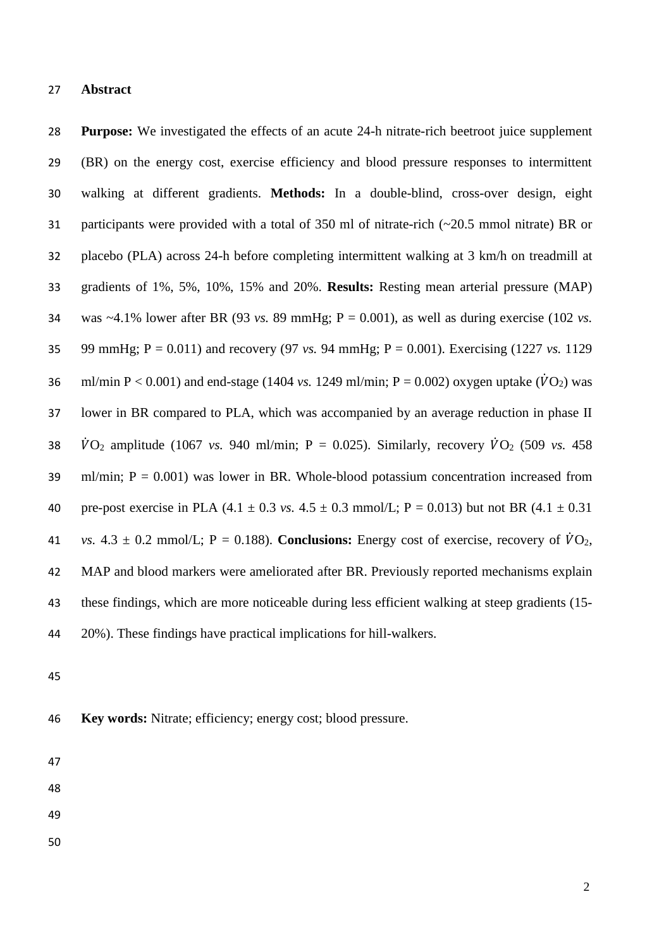### **Abstract**

 **Purpose:** We investigated the effects of an acute 24-h nitrate-rich beetroot juice supplement (BR) on the energy cost, exercise efficiency and blood pressure responses to intermittent walking at different gradients. **Methods:** In a double-blind, cross-over design, eight participants were provided with a total of 350 ml of nitrate-rich (~20.5 mmol nitrate) BR or placebo (PLA) across 24-h before completing intermittent walking at 3 km/h on treadmill at gradients of 1%, 5%, 10%, 15% and 20%. **Results:** Resting mean arterial pressure (MAP) 34 was  $\sim$ 4.1% lower after BR (93 *vs.* 89 mmHg; P = 0.001), as well as during exercise (102 *vs.*  99 mmHg; P = 0.011) and recovery (97 *vs.* 94 mmHg; P = 0.001). Exercising (1227 *vs.* 1129 36 ml/min P < 0.001) and end-stage (1404 *vs.* 1249 ml/min; P = 0.002) oxygen uptake ( $\dot{V}O_2$ ) was lower in BR compared to PLA, which was accompanied by an average reduction in phase II  $\dot{V}O_2$  amplitude (1067 *vs.* 940 ml/min; P = 0.025). Similarly, recovery  $\dot{V}O_2$  (509 *vs.* 458 39 ml/min;  $P = 0.001$ ) was lower in BR. Whole-blood potassium concentration increased from 40 pre-post exercise in PLA  $(4.1 \pm 0.3 \text{ vs. } 4.5 \pm 0.3 \text{ mmol/L}; P = 0.013)$  but not BR  $(4.1 \pm 0.31 \text{ m})$ *vs.*  $4.3 \pm 0.2$  mmol/L; P = 0.188). **Conclusions:** Energy cost of exercise, recovery of  $\dot{V}O_2$ , MAP and blood markers were ameliorated after BR. Previously reported mechanisms explain these findings, which are more noticeable during less efficient walking at steep gradients (15- 20%). These findings have practical implications for hill-walkers.

**Key words:** Nitrate; efficiency; energy cost; blood pressure.

- 
- 
- 
-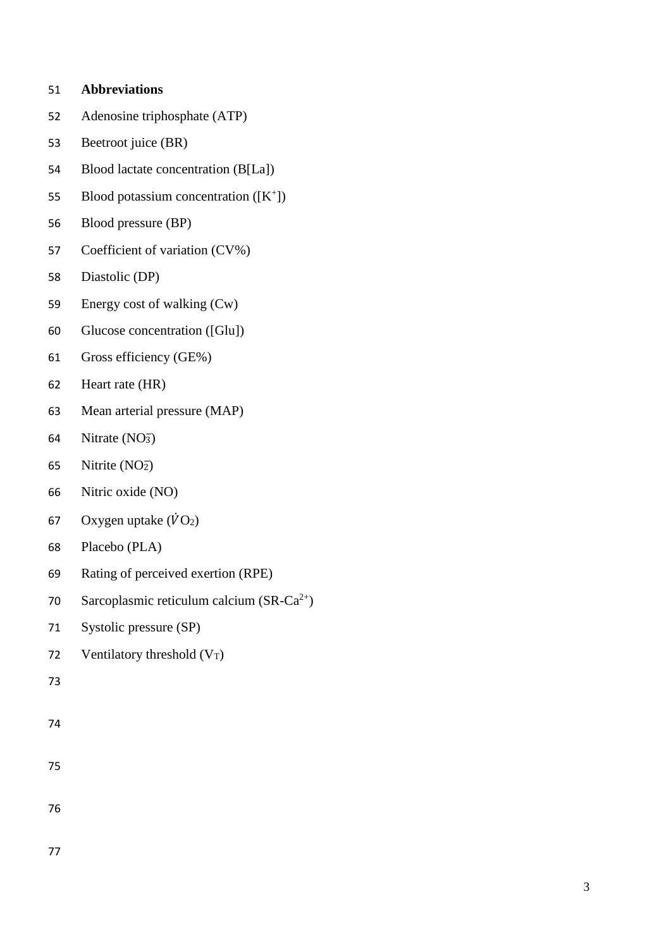# **Abbreviations**

- Adenosine triphosphate (ATP)
- Beetroot juice (BR)
- Blood lactate concentration (B[La])
- 55 Blood potassium concentration  $([K^+])$
- Blood pressure (BP)
- Coefficient of variation (CV%)
- Diastolic (DP)
- Energy cost of walking (Cw)
- Glucose concentration ([Glu])
- Gross efficiency (GE%)
- Heart rate (HR)
- Mean arterial pressure (MAP)
- Nitrate (NO3̅)
- 65 Nitrite  $(NO\bar{2})$
- Nitric oxide (NO)
- 67 Oxygen uptake  $(\dot{V}\text{O}_2)$
- Placebo (PLA)
- Rating of perceived exertion (RPE)
- 70 Sarcoplasmic reticulum calcium  $(SR-Ca^{2+})$
- Systolic pressure (SP)
- 72 Ventilatory threshold  $(V_T)$
- 
- 
- 
- 
-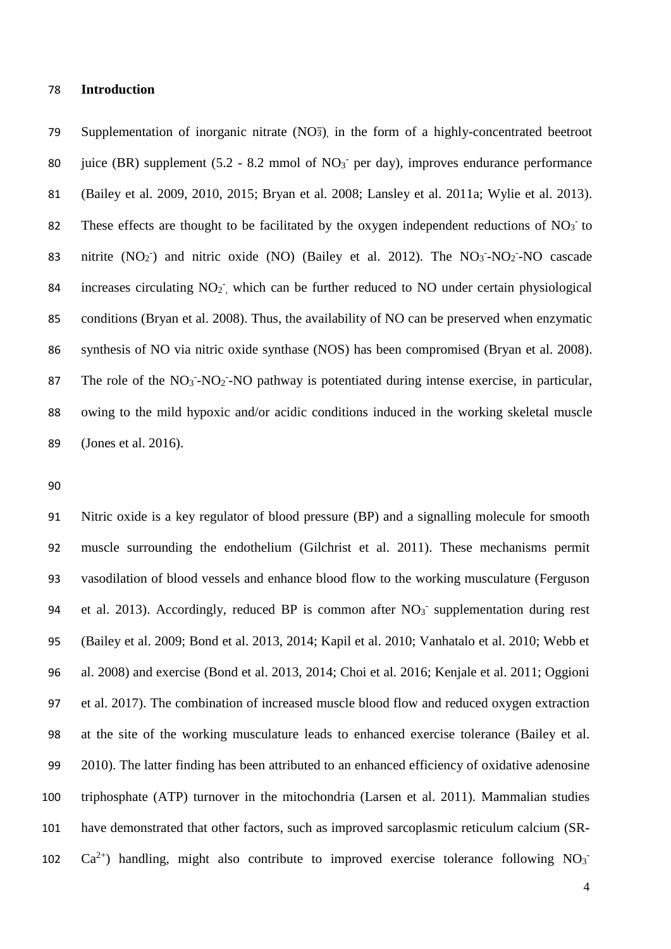#### **Introduction**

79 Supplementation of inorganic nitrate  $(NO<sub>3</sub>)$  in the form of a highly-concentrated beetroot 80 juice (BR) supplement (5.2 - 8.2 mmol of  $NO<sub>3</sub>$  per day), improves endurance performance (Bailey et al. 2009, 2010, 2015; Bryan et al. 2008; Lansley et al. 2011a; Wylie et al. 2013). 82 These effects are thought to be facilitated by the oxygen independent reductions of  $NO<sub>3</sub>$  to 83 nitrite (NO<sub>2</sub><sup>-</sup>) and nitric oxide (NO) (Bailey et al. 2012). The NO<sub>3</sub>-NO<sub>2</sub>-NO cascade 84 increases circulating  $NO<sub>2</sub>$ , which can be further reduced to NO under certain physiological conditions (Bryan et al. 2008). Thus, the availability of NO can be preserved when enzymatic synthesis of NO via nitric oxide synthase (NOS) has been compromised (Bryan et al. 2008). 87 The role of the  $NO<sub>3</sub>$ -NO<sub>2</sub>-NO pathway is potentiated during intense exercise, in particular, owing to the mild hypoxic and/or acidic conditions induced in the working skeletal muscle (Jones et al. 2016).

 Nitric oxide is a key regulator of blood pressure (BP) and a signalling molecule for smooth muscle surrounding the endothelium (Gilchrist et al. 2011). These mechanisms permit vasodilation of blood vessels and enhance blood flow to the working musculature (Ferguson 94 et al. 2013). Accordingly, reduced BP is common after  $NO<sub>3</sub>$  supplementation during rest (Bailey et al. 2009; Bond et al. 2013, 2014; Kapil et al. 2010; Vanhatalo et al. 2010; Webb et al. 2008) and exercise (Bond et al. 2013, 2014; Choi et al. 2016; Kenjale et al. 2011; Oggioni et al. 2017). The combination of increased muscle blood flow and reduced oxygen extraction at the site of the working musculature leads to enhanced exercise tolerance (Bailey et al. 2010). The latter finding has been attributed to an enhanced efficiency of oxidative adenosine triphosphate (ATP) turnover in the mitochondria (Larsen et al. 2011). Mammalian studies have demonstrated that other factors, such as improved sarcoplasmic reticulum calcium (SR- $Ca^{2+}$ ) handling, might also contribute to improved exercise tolerance following NO<sub>3</sub>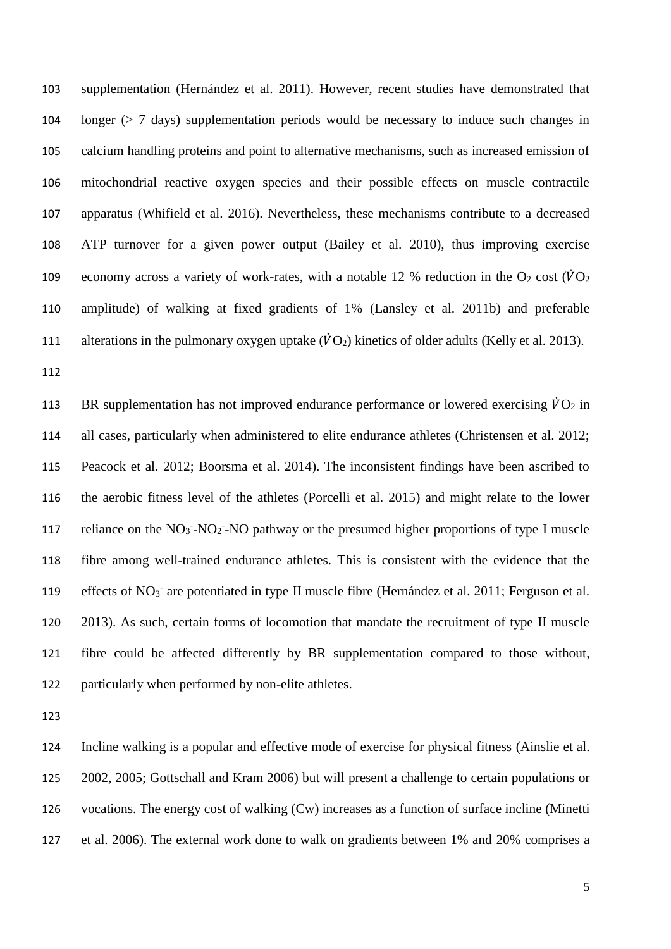supplementation (Hernández et al. 2011). However, recent studies have demonstrated that longer (> 7 days) supplementation periods would be necessary to induce such changes in calcium handling proteins and point to alternative mechanisms, such as increased emission of mitochondrial reactive oxygen species and their possible effects on muscle contractile apparatus (Whifield et al. 2016). Nevertheless, these mechanisms contribute to a decreased ATP turnover for a given power output (Bailey et al. 2010), thus improving exercise 109 economy across a variety of work-rates, with a notable 12 % reduction in the  $O_2$  cost ( $\dot{V}O_2$  amplitude) of walking at fixed gradients of 1% (Lansley et al. 2011b) and preferable 111 alterations in the pulmonary oxygen uptake  $(\dot{V}O_2)$  kinetics of older adults (Kelly et al. 2013).

113 BR supplementation has not improved endurance performance or lowered exercising  $\dot{V}O_2$  in all cases, particularly when administered to elite endurance athletes (Christensen et al. 2012; Peacock et al. 2012; Boorsma et al. 2014). The inconsistent findings have been ascribed to the aerobic fitness level of the athletes (Porcelli et al. 2015) and might relate to the lower 117 reliance on the  $NO<sub>3</sub>$ -NO<sub>2</sub>-NO pathway or the presumed higher proportions of type I muscle fibre among well-trained endurance athletes. This is consistent with the evidence that the 119 effects of NO<sub>3</sub><sup>-</sup> are potentiated in type II muscle fibre (Hernández et al. 2011; Ferguson et al. 2013). As such, certain forms of locomotion that mandate the recruitment of type II muscle fibre could be affected differently by BR supplementation compared to those without, particularly when performed by non-elite athletes.

 Incline walking is a popular and effective mode of exercise for physical fitness (Ainslie et al. 2002, 2005; Gottschall and Kram 2006) but will present a challenge to certain populations or vocations. The energy cost of walking (Cw) increases as a function of surface incline (Minetti et al. 2006). The external work done to walk on gradients between 1% and 20% comprises a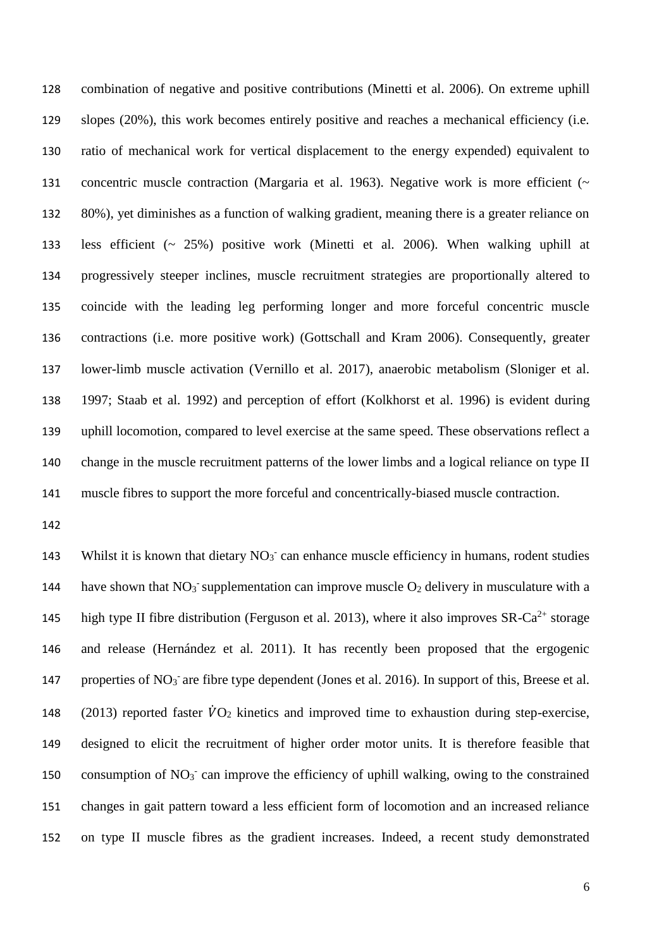combination of negative and positive contributions (Minetti et al. 2006). On extreme uphill slopes (20%), this work becomes entirely positive and reaches a mechanical efficiency (i.e. ratio of mechanical work for vertical displacement to the energy expended) equivalent to 131 concentric muscle contraction (Margaria et al. 1963). Negative work is more efficient (~ 80%), yet diminishes as a function of walking gradient, meaning there is a greater reliance on less efficient (~ 25%) positive work (Minetti et al. 2006). When walking uphill at progressively steeper inclines, muscle recruitment strategies are proportionally altered to coincide with the leading leg performing longer and more forceful concentric muscle contractions (i.e. more positive work) (Gottschall and Kram 2006). Consequently, greater lower-limb muscle activation (Vernillo et al. 2017), anaerobic metabolism (Sloniger et al. 1997; Staab et al. 1992) and perception of effort (Kolkhorst et al. 1996) is evident during uphill locomotion, compared to level exercise at the same speed. These observations reflect a change in the muscle recruitment patterns of the lower limbs and a logical reliance on type II muscle fibres to support the more forceful and concentrically-biased muscle contraction.

143 Whilst it is known that dietary  $NO<sub>3</sub>$  can enhance muscle efficiency in humans, rodent studies 144 have shown that  $NO_3$  supplementation can improve muscle  $O_2$  delivery in musculature with a high type II fibre distribution (Ferguson et al. 2013), where it also improves  $SR-Ca^{2+}$  storage and release (Hernández et al. 2011). It has recently been proposed that the ergogenic 147 properties of NO<sub>3</sub> are fibre type dependent (Jones et al. 2016). In support of this, Breese et al. 148 (2013) reported faster  $\dot{V}O_2$  kinetics and improved time to exhaustion during step-exercise, designed to elicit the recruitment of higher order motor units. It is therefore feasible that 150 consumption of  $NO<sub>3</sub>$  can improve the efficiency of uphill walking, owing to the constrained changes in gait pattern toward a less efficient form of locomotion and an increased reliance on type II muscle fibres as the gradient increases. Indeed, a recent study demonstrated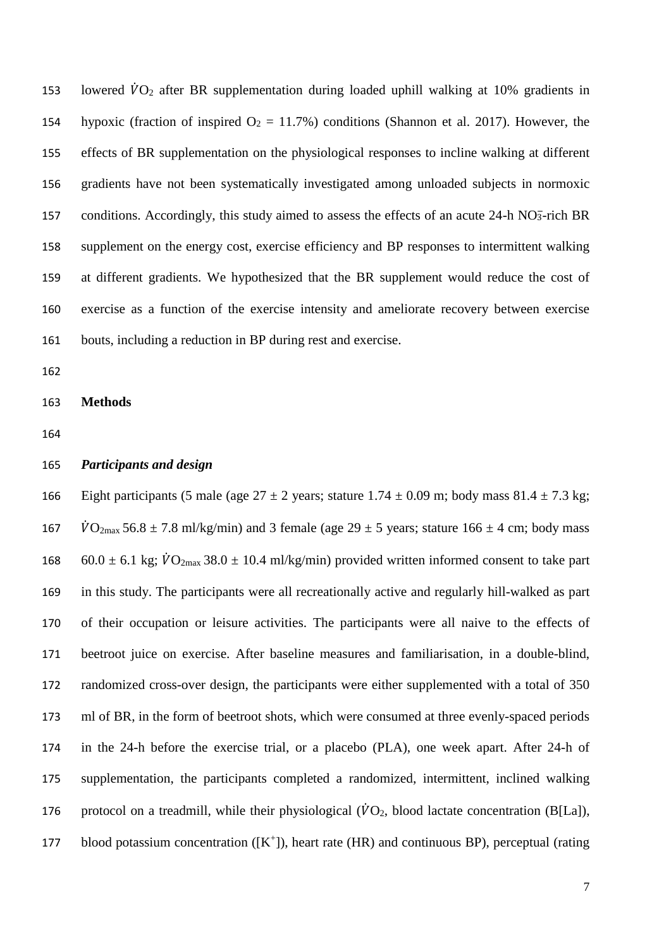153 lowered  $\dot{V}O_2$  after BR supplementation during loaded uphill walking at 10% gradients in 154 hypoxic (fraction of inspired  $O_2 = 11.7\%$ ) conditions (Shannon et al. 2017). However, the effects of BR supplementation on the physiological responses to incline walking at different gradients have not been systematically investigated among unloaded subjects in normoxic 157 conditions. Accordingly, this study aimed to assess the effects of an acute 24-h NO<sub>3</sub>-rich BR supplement on the energy cost, exercise efficiency and BP responses to intermittent walking at different gradients. We hypothesized that the BR supplement would reduce the cost of exercise as a function of the exercise intensity and ameliorate recovery between exercise bouts, including a reduction in BP during rest and exercise.

**Methods**

## *Participants and design*

166 Eight participants (5 male (age  $27 \pm 2$  years; stature  $1.74 \pm 0.09$  m; body mass  $81.4 \pm 7.3$  kg;  $\dot{V}O_{2\text{max}}$  56.8  $\pm$  7.8 ml/kg/min) and 3 female (age 29  $\pm$  5 years; stature 166  $\pm$  4 cm; body mass 168 60.0  $\pm$  6.1 kg;  $\dot{V}O_{2\text{max}}$  38.0  $\pm$  10.4 ml/kg/min) provided written informed consent to take part in this study. The participants were all recreationally active and regularly hill-walked as part of their occupation or leisure activities. The participants were all naive to the effects of beetroot juice on exercise. After baseline measures and familiarisation, in a double-blind, randomized cross-over design, the participants were either supplemented with a total of 350 ml of BR, in the form of beetroot shots, which were consumed at three evenly-spaced periods in the 24-h before the exercise trial, or a placebo (PLA), one week apart. After 24-h of supplementation, the participants completed a randomized, intermittent, inclined walking 176 protocol on a treadmill, while their physiological  $(\dot{V}O_2)$ , blood lactate concentration (B[La]), 177 blood potassium concentration  $([K^+])$ , heart rate  $(HR)$  and continuous BP), perceptual (rating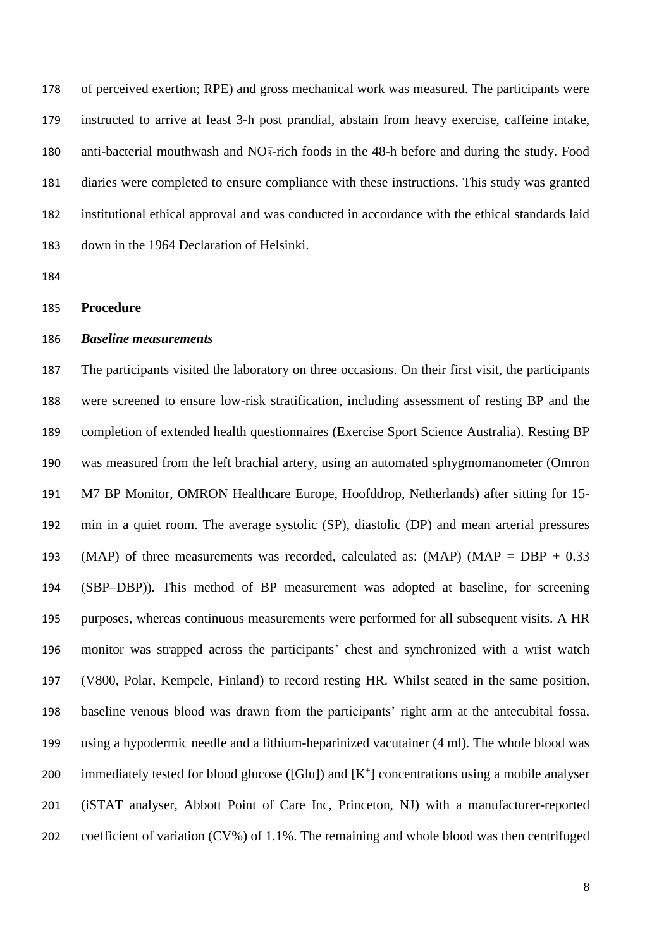of perceived exertion; RPE) and gross mechanical work was measured. The participants were instructed to arrive at least 3-h post prandial, abstain from heavy exercise, caffeine intake, 180 anti-bacterial mouthwash and NO<sub>3</sub>-rich foods in the 48-h before and during the study. Food diaries were completed to ensure compliance with these instructions. This study was granted institutional ethical approval and was conducted in accordance with the ethical standards laid down in the 1964 Declaration of Helsinki.

#### **Procedure**

# *Baseline measurements*

 The participants visited the laboratory on three occasions. On their first visit, the participants were screened to ensure low-risk stratification, including assessment of resting BP and the completion of extended health questionnaires (Exercise Sport Science Australia). Resting BP was measured from the left brachial artery, using an automated sphygmomanometer (Omron M7 BP Monitor, OMRON Healthcare Europe, Hoofddrop, Netherlands) after sitting for 15- min in a quiet room. The average systolic (SP), diastolic (DP) and mean arterial pressures (MAP) of three measurements was recorded, calculated as: (MAP) (MAP = DBP + 0.33 (SBP–DBP)). This method of BP measurement was adopted at baseline, for screening purposes, whereas continuous measurements were performed for all subsequent visits. A HR monitor was strapped across the participants' chest and synchronized with a wrist watch (V800, Polar, Kempele, Finland) to record resting HR. Whilst seated in the same position, baseline venous blood was drawn from the participants' right arm at the antecubital fossa, using a hypodermic needle and a lithium-heparinized vacutainer (4 ml). The whole blood was 200 immediately tested for blood glucose ([Glu]) and  $[K^+]$  concentrations using a mobile analyser (iSTAT analyser, Abbott Point of Care Inc, Princeton, NJ) with a manufacturer-reported coefficient of variation (CV%) of 1.1%. The remaining and whole blood was then centrifuged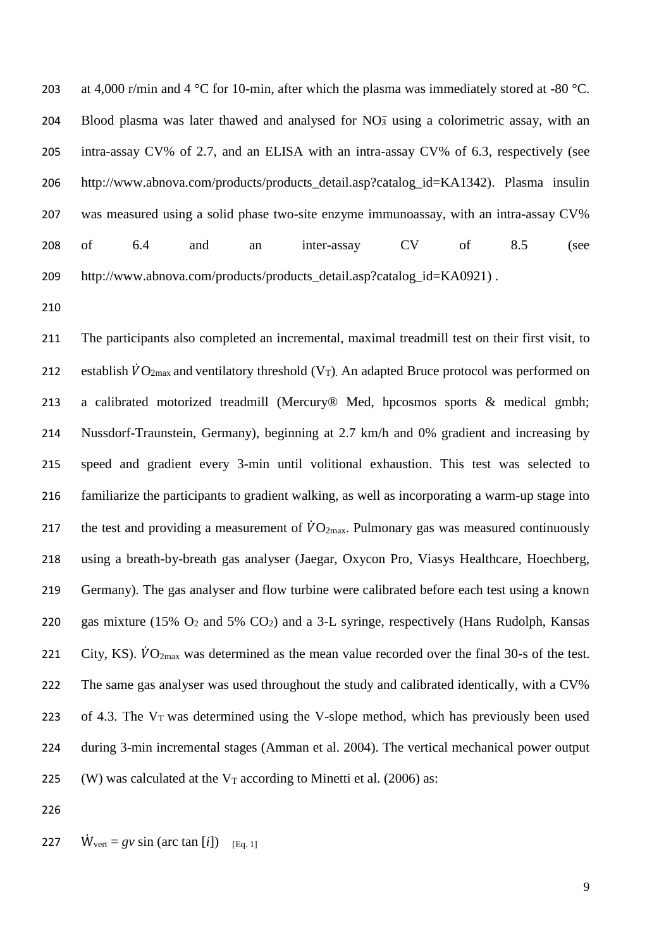203 at 4,000 r/min and 4 °C for 10-min, after which the plasma was immediately stored at -80 °C. 204 Blood plasma was later thawed and analysed for  $NO<sub>3</sub><sup>-</sup>$  using a colorimetric assay, with an intra-assay CV% of 2.7, and an ELISA with an intra-assay CV% of 6.3, respectively (see http://www.abnova.com/products/products\_detail.asp?catalog\_id=KA1342). Plasma insulin was measured using a solid phase two-site enzyme immunoassay, with an intra-assay CV% of 6.4 and an inter-assay CV of 8.5 (see http://www.abnova.com/products/products\_detail.asp?catalog\_id=KA0921) .

 The participants also completed an incremental, maximal treadmill test on their first visit, to 212 establish  $\dot{V}O_{2\text{max}}$  and ventilatory threshold (V<sub>T</sub>). An adapted Bruce protocol was performed on a calibrated motorized treadmill (Mercury® Med, hpcosmos sports & medical gmbh; Nussdorf-Traunstein, Germany), beginning at 2.7 km/h and 0% gradient and increasing by speed and gradient every 3-min until volitional exhaustion. This test was selected to familiarize the participants to gradient walking, as well as incorporating a warm-up stage into 217 the test and providing a measurement of  $\dot{V}\text{O}_{2\text{max}}$ . Pulmonary gas was measured continuously using a breath-by-breath gas analyser (Jaegar, Oxycon Pro, Viasys Healthcare, Hoechberg, Germany). The gas analyser and flow turbine were calibrated before each test using a known 220 gas mixture (15%  $O_2$  and 5%  $CO_2$ ) and a 3-L syringe, respectively (Hans Rudolph, Kansas 221 City, KS).  $\dot{V}O_{2\text{max}}$  was determined as the mean value recorded over the final 30-s of the test. 222 The same gas analyser was used throughout the study and calibrated identically, with a CV% 223 of 4.3. The  $V_T$  was determined using the V-slope method, which has previously been used during 3-min incremental stages (Amman et al. 2004). The vertical mechanical power output 225 (W) was calculated at the  $V_T$  according to Minetti et al. (2006) as: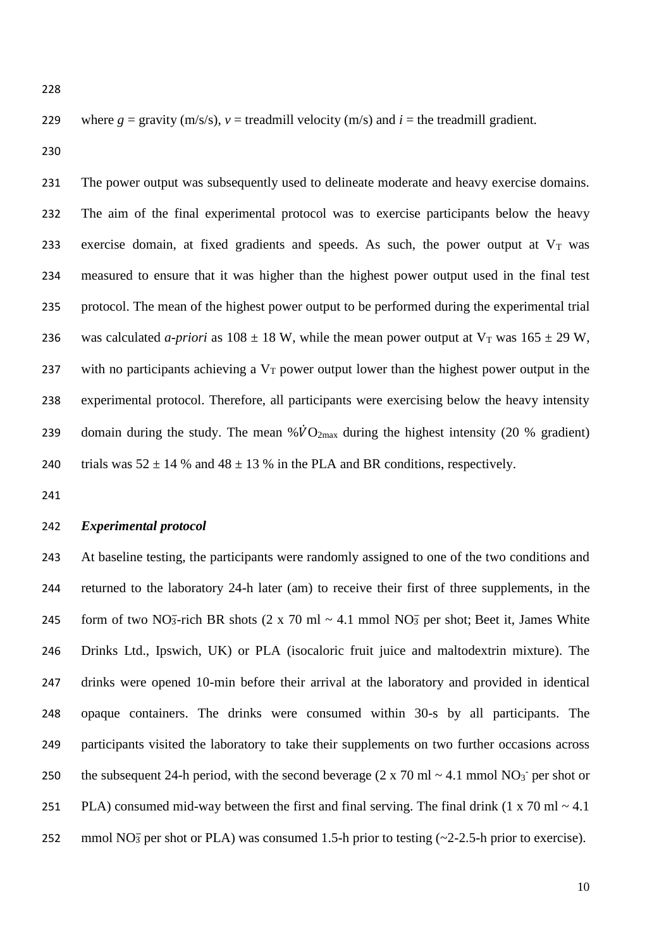229 where  $g = \text{gravity (m/s/s)}, v = \text{treadmill velocity (m/s) and } i = \text{the treadmill gradient.}$ 

 The power output was subsequently used to delineate moderate and heavy exercise domains. The aim of the final experimental protocol was to exercise participants below the heavy 233 exercise domain, at fixed gradients and speeds. As such, the power output at  $V_T$  was measured to ensure that it was higher than the highest power output used in the final test protocol. The mean of the highest power output to be performed during the experimental trial 236 was calculated *a-priori* as  $108 \pm 18$  W, while the mean power output at  $V_T$  was  $165 \pm 29$  W, 237 with no participants achieving a  $V_T$  power output lower than the highest power output in the experimental protocol. Therefore, all participants were exercising below the heavy intensity 239 domain during the study. The mean  $\% \dot{V}O_{2\text{max}}$  during the highest intensity (20 % gradient) 240 trials was  $52 \pm 14$  % and  $48 \pm 13$  % in the PLA and BR conditions, respectively.

## *Experimental protocol*

 At baseline testing, the participants were randomly assigned to one of the two conditions and returned to the laboratory 24-h later (am) to receive their first of three supplements, in the 245 form of two NO<sub>3</sub>-rich BR shots  $(2 \times 70 \text{ ml} \sim 4.1 \text{ mmol NO}_3$  per shot; Beet it, James White Drinks Ltd., Ipswich, UK) or PLA (isocaloric fruit juice and maltodextrin mixture). The drinks were opened 10-min before their arrival at the laboratory and provided in identical opaque containers. The drinks were consumed within 30-s by all participants. The participants visited the laboratory to take their supplements on two further occasions across 250 the subsequent 24-h period, with the second beverage  $(2 \times 70 \text{ ml} \sim 4.1 \text{ mmol NO}_3$  per shot or 251 PLA) consumed mid-way between the first and final serving. The final drink  $(1 \times 70 \text{ ml} \sim 4.1)$ 252 mmol NO<sub>3</sub> per shot or PLA) was consumed 1.5-h prior to testing  $(\sim 2-2.5$ -h prior to exercise).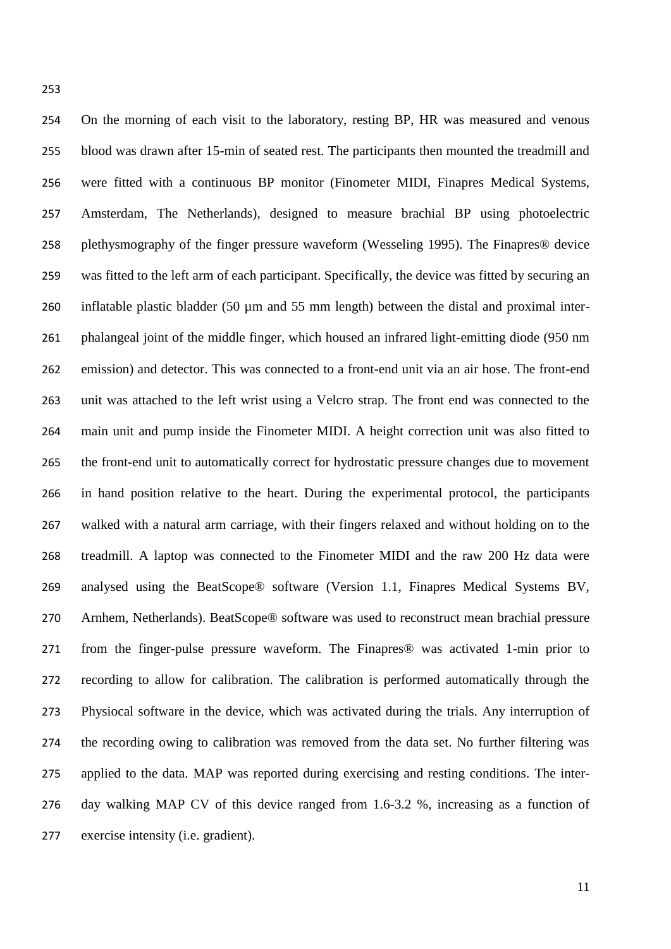On the morning of each visit to the laboratory, resting BP, HR was measured and venous

 blood was drawn after 15-min of seated rest. The participants then mounted the treadmill and were fitted with a continuous BP monitor (Finometer MIDI, Finapres Medical Systems, Amsterdam, The Netherlands), designed to measure brachial BP using photoelectric plethysmography of the finger pressure waveform (Wesseling 1995). The Finapres® device was fitted to the left arm of each participant. Specifically, the device was fitted by securing an inflatable plastic bladder (50 µm and 55 mm length) between the distal and proximal inter- phalangeal joint of the middle finger, which housed an infrared light-emitting diode (950 nm emission) and detector. This was connected to a front-end unit via an air hose. The front-end unit was attached to the left wrist using a Velcro strap. The front end was connected to the main unit and pump inside the Finometer MIDI. A height correction unit was also fitted to the front-end unit to automatically correct for hydrostatic pressure changes due to movement in hand position relative to the heart. During the experimental protocol, the participants walked with a natural arm carriage, with their fingers relaxed and without holding on to the treadmill. A laptop was connected to the Finometer MIDI and the raw 200 Hz data were analysed using the BeatScope® software (Version 1.1, Finapres Medical Systems BV, Arnhem, Netherlands). BeatScope® software was used to reconstruct mean brachial pressure from the finger-pulse pressure waveform. The Finapres® was activated 1-min prior to recording to allow for calibration. The calibration is performed automatically through the Physiocal software in the device, which was activated during the trials. Any interruption of the recording owing to calibration was removed from the data set. No further filtering was applied to the data. MAP was reported during exercising and resting conditions. The inter- day walking MAP CV of this device ranged from 1.6-3.2 %, increasing as a function of exercise intensity (i.e. gradient).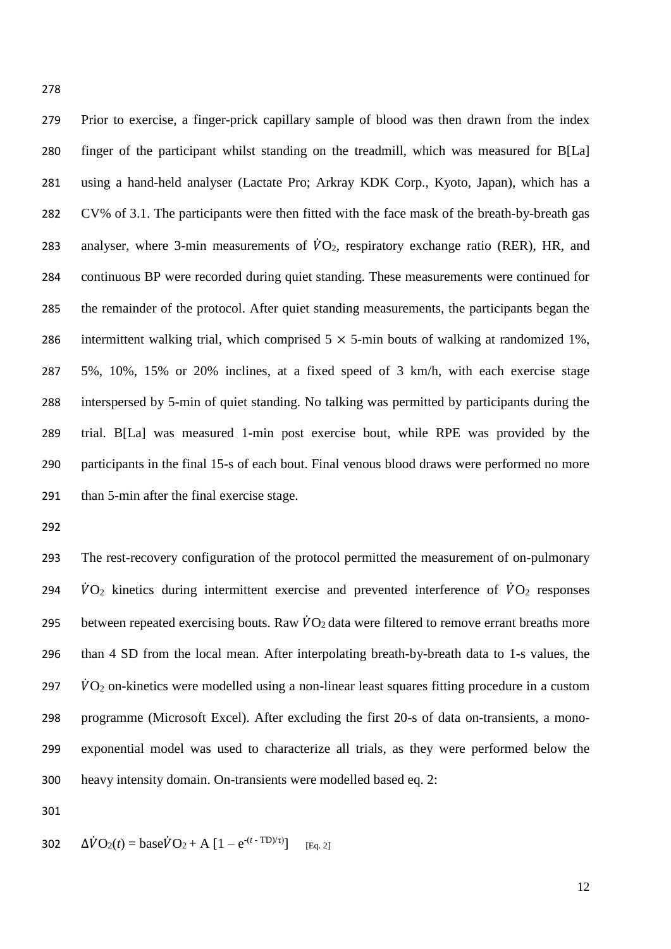Prior to exercise, a finger-prick capillary sample of blood was then drawn from the index finger of the participant whilst standing on the treadmill, which was measured for B[La] using a hand-held analyser (Lactate Pro; Arkray KDK Corp., Kyoto, Japan), which has a CV% of 3.1. The participants were then fitted with the face mask of the breath-by-breath gas 283 analyser, where 3-min measurements of  $\dot{V}O_2$ , respiratory exchange ratio (RER), HR, and continuous BP were recorded during quiet standing. These measurements were continued for the remainder of the protocol. After quiet standing measurements, the participants began the 286 intermittent walking trial, which comprised  $5 \times 5$ -min bouts of walking at randomized 1%. 5%, 10%, 15% or 20% inclines, at a fixed speed of 3 km/h, with each exercise stage interspersed by 5-min of quiet standing. No talking was permitted by participants during the trial. B[La] was measured 1-min post exercise bout, while RPE was provided by the participants in the final 15-s of each bout. Final venous blood draws were performed no more than 5-min after the final exercise stage.

 The rest-recovery configuration of the protocol permitted the measurement of on-pulmonary  $\dot{V}O_2$  kinetics during intermittent exercise and prevented interference of  $\dot{V}O_2$  responses 295 between repeated exercising bouts. Raw  $\dot{V}O_2$  data were filtered to remove errant breaths more than 4 SD from the local mean. After interpolating breath-by-breath data to 1-s values, the  $297 \text{ VO}_2$  on-kinetics were modelled using a non-linear least squares fitting procedure in a custom programme (Microsoft Excel). After excluding the first 20-s of data on-transients, a mono- exponential model was used to characterize all trials, as they were performed below the heavy intensity domain. On-transients were modelled based eq. 2:

302 
$$
\Delta \dot{V} O_2(t) = \text{base} \dot{V} O_2 + A \left[ 1 - e^{-(t - TD)/\tau} \right]
$$
 [Eq. 2]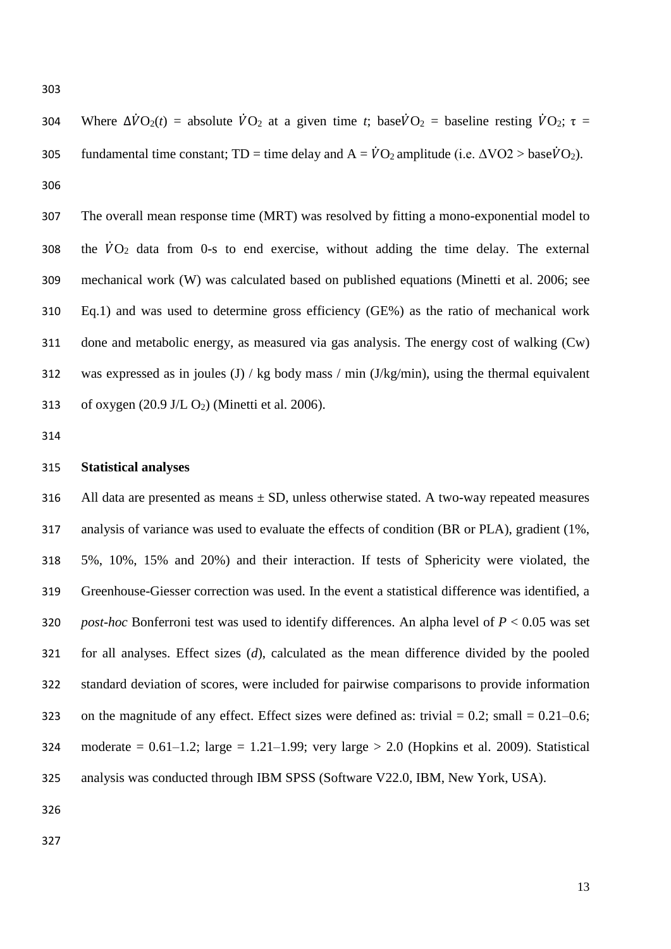304 Where  $\Delta \dot{V}O_2(t)$  = absolute  $\dot{V}O_2$  at a given time *t*; base $\dot{V}O_2$  = baseline resting  $\dot{V}O_2$ ;  $\tau$  = 305 fundamental time constant; TD = time delay and  $A = \dot{V}O_2$  amplitude (i.e.  $\Delta VO2 > \text{base} \dot{V}O_2$ ). 

 The overall mean response time (MRT) was resolved by fitting a mono-exponential model to 308 the  $\dot{V}O_2$  data from 0-s to end exercise, without adding the time delay. The external mechanical work (W) was calculated based on published equations (Minetti et al. 2006; see Eq.1) and was used to determine gross efficiency (GE%) as the ratio of mechanical work done and metabolic energy, as measured via gas analysis. The energy cost of walking (Cw) 312 was expressed as in joules (J) / kg body mass / min (J/kg/min), using the thermal equivalent 313 of oxygen  $(20.9 \text{ J/L O}_2)$  (Minetti et al. 2006).

### **Statistical analyses**

316 All data are presented as means  $\pm$  SD, unless otherwise stated. A two-way repeated measures analysis of variance was used to evaluate the effects of condition (BR or PLA), gradient (1%, 5%, 10%, 15% and 20%) and their interaction. If tests of Sphericity were violated, the Greenhouse-Giesser correction was used. In the event a statistical difference was identified, a *post-hoc* Bonferroni test was used to identify differences. An alpha level of *P* < 0.05 was set for all analyses. Effect sizes (*d*), calculated as the mean difference divided by the pooled standard deviation of scores, were included for pairwise comparisons to provide information 323 on the magnitude of any effect. Effect sizes were defined as: trivial  $= 0.2$ ; small  $= 0.21 - 0.6$ ; 324 moderate =  $0.61-1.2$ ; large =  $1.21-1.99$ ; very large >  $2.0$  (Hopkins et al. 2009). Statistical analysis was conducted through IBM SPSS (Software V22.0, IBM, New York, USA).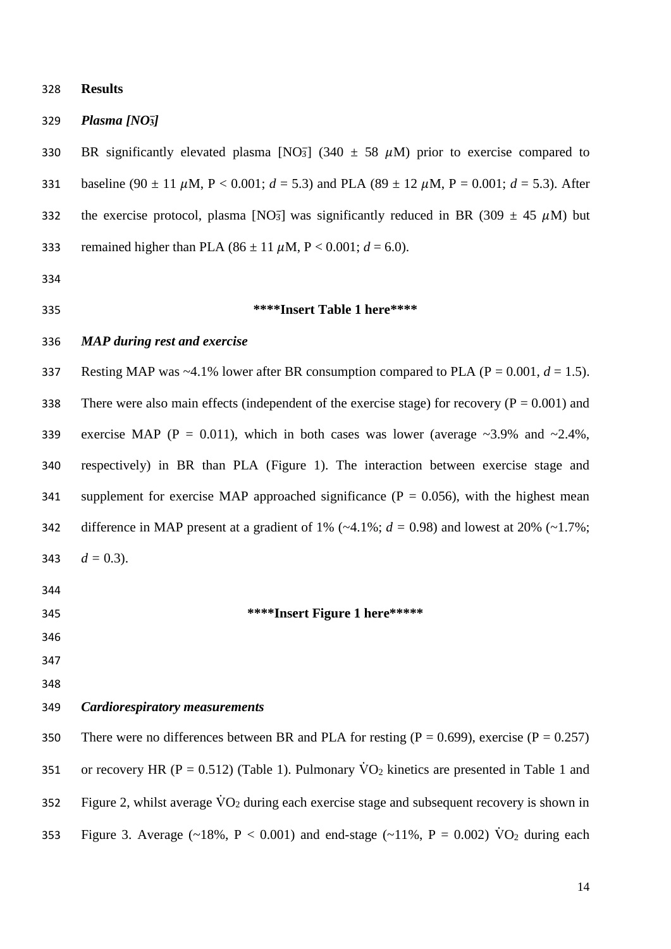328 **Results**

329 *Plasma [NO***3***]*̅

330 BR significantly elevated plasma [NO<sub>3</sub>] (340  $\pm$  58  $\mu$ M) prior to exercise compared to 331 baseline (90  $\pm$  11  $\mu$ M, P < 0.001; *d* = 5.3) and PLA (89  $\pm$  12  $\mu$ M, P = 0.001; *d* = 5.3). After 332 the exercise protocol, plasma [NO<sub>3</sub>] was significantly reduced in BR (309  $\pm$  45  $\mu$ M) but 333 remained higher than PLA  $(86 \pm 11 \,\mu M, P < 0.001; d = 6.0)$ .

- 334
- 

# 335 **\*\*\*\*Insert Table 1 here\*\*\*\***

336 *MAP during rest and exercise*

337 Resting MAP was  $~4.1\%$  lower after BR consumption compared to PLA (P = 0.001,  $d = 1.5$ ). 338 There were also main effects (independent of the exercise stage) for recovery ( $P = 0.001$ ) and 339 exercise MAP (P = 0.011), which in both cases was lower (average  $\sim$ 3.9% and  $\sim$ 2.4%, 340 respectively) in BR than PLA (Figure 1). The interaction between exercise stage and 341 supplement for exercise MAP approached significance ( $P = 0.056$ ), with the highest mean 342 difference in MAP present at a gradient of  $1\%$  ( $\sim$ 4.1%;  $d = 0.98$ ) and lowest at 20% ( $\sim$ 1.7%; 343  $d = 0.3$ ).

344

- 345 **\*\*\*\*Insert Figure 1 here\*\*\*\*\***
- 346 347
- 
- 348

# 349 *Cardiorespiratory measurements*

```
350 There were no differences between BR and PLA for resting (P = 0.699), exercise (P = 0.257)351 or recovery HR (P = 0.512) (Table 1). Pulmonary \dot{V}O_2 kinetics are presented in Table 1 and
352 Figure 2, whilst average \rm \dot{V}O_2 during each exercise stage and subsequent recovery is shown in
353 Figure 3. Average (\sim 18\% \text{ , P} < 0.001) and end-stage (\sim 11\% \text{ , P} = 0.002) VO<sub>2</sub> during each
```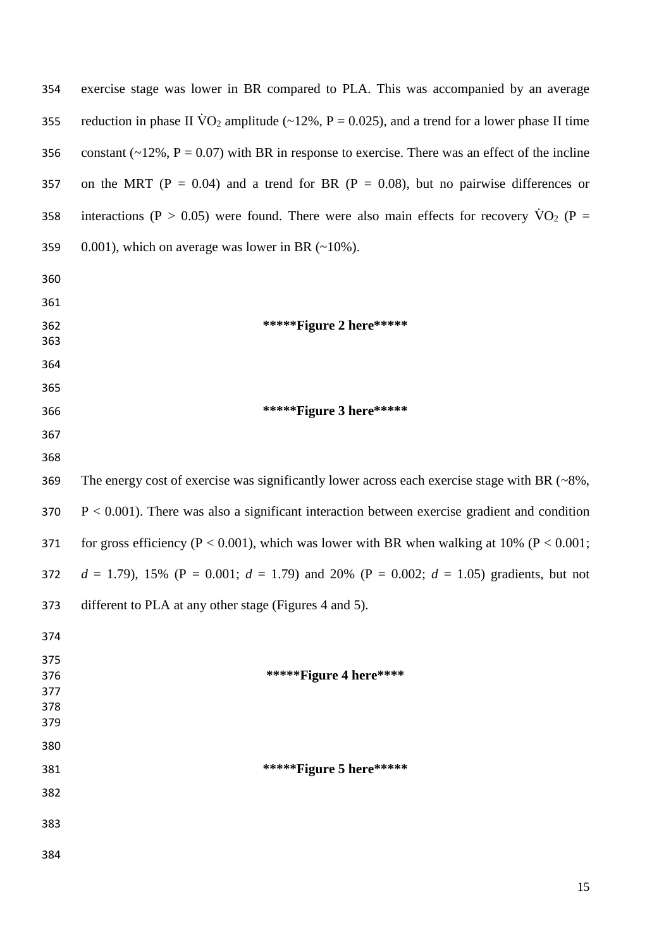| 354        | exercise stage was lower in BR compared to PLA. This was accompanied by an average                    |  |  |  |  |  |  |
|------------|-------------------------------------------------------------------------------------------------------|--|--|--|--|--|--|
| 355        | reduction in phase II $\dot{V}O_2$ amplitude (~12%, P = 0.025), and a trend for a lower phase II time |  |  |  |  |  |  |
| 356        | constant ( $\sim$ 12%, P = 0.07) with BR in response to exercise. There was an effect of the incline  |  |  |  |  |  |  |
| 357        | on the MRT ( $P = 0.04$ ) and a trend for BR ( $P = 0.08$ ), but no pairwise differences or           |  |  |  |  |  |  |
| 358        | interactions (P > 0.05) were found. There were also main effects for recovery $\dot{V}O_2$ (P =       |  |  |  |  |  |  |
| 359        | 0.001), which on average was lower in BR $(\sim 10\%)$ .                                              |  |  |  |  |  |  |
| 360        |                                                                                                       |  |  |  |  |  |  |
| 361        |                                                                                                       |  |  |  |  |  |  |
| 362<br>363 | ******Figure 2 here*****                                                                              |  |  |  |  |  |  |
| 364        |                                                                                                       |  |  |  |  |  |  |
| 365        |                                                                                                       |  |  |  |  |  |  |
| 366        | ******Figure 3 here******                                                                             |  |  |  |  |  |  |
| 367        |                                                                                                       |  |  |  |  |  |  |
| 368        |                                                                                                       |  |  |  |  |  |  |
| 369        | The energy cost of exercise was significantly lower across each exercise stage with BR $(\sim 8\%$ ,  |  |  |  |  |  |  |
| 370        | $P < 0.001$ ). There was also a significant interaction between exercise gradient and condition       |  |  |  |  |  |  |
| 371        | for gross efficiency ( $P < 0.001$ ), which was lower with BR when walking at 10% ( $P < 0.001$ ;     |  |  |  |  |  |  |
| 372        | $d = 1.79$ , 15% (P = 0.001; $d = 1.79$ ) and 20% (P = 0.002; $d = 1.05$ ) gradients, but not         |  |  |  |  |  |  |
| 373        | different to PLA at any other stage (Figures 4 and 5).                                                |  |  |  |  |  |  |
| 374        |                                                                                                       |  |  |  |  |  |  |
| 375        |                                                                                                       |  |  |  |  |  |  |
| 376        | ******Figure 4 here****                                                                               |  |  |  |  |  |  |
| 377        |                                                                                                       |  |  |  |  |  |  |
| 378<br>379 |                                                                                                       |  |  |  |  |  |  |
| 380        |                                                                                                       |  |  |  |  |  |  |
| 381        | ******Figure 5 here*****                                                                              |  |  |  |  |  |  |
| 382        |                                                                                                       |  |  |  |  |  |  |
| 383        |                                                                                                       |  |  |  |  |  |  |
| 384        |                                                                                                       |  |  |  |  |  |  |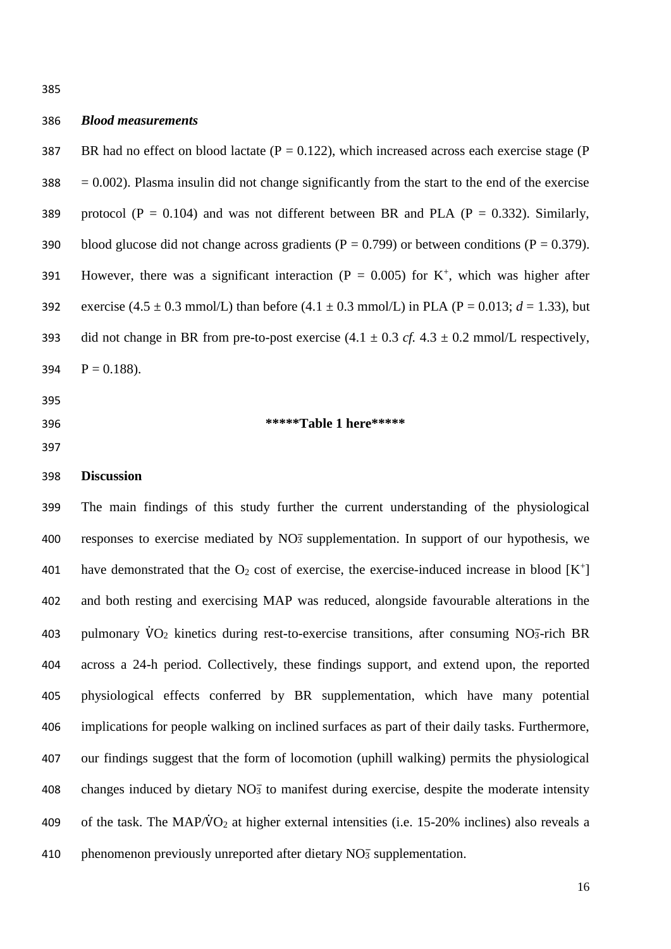# 386 *Blood measurements*

387 BR had no effect on blood lactate ( $P = 0.122$ ), which increased across each exercise stage ( $P = 0.122$ )  $388 = 0.002$ ). Plasma insulin did not change significantly from the start to the end of the exercise 389 protocol ( $P = 0.104$ ) and was not different between BR and PLA ( $P = 0.332$ ). Similarly, 390 blood glucose did not change across gradients ( $P = 0.799$ ) or between conditions ( $P = 0.379$ ). 391 However, there was a significant interaction ( $P = 0.005$ ) for K<sup>+</sup>, which was higher after 392 exercise  $(4.5 \pm 0.3 \text{ mmol/L})$  than before  $(4.1 \pm 0.3 \text{ mmol/L})$  in PLA  $(P = 0.013; d = 1.33)$ , but 393 did not change in BR from pre-to-post exercise  $(4.1 \pm 0.3 \text{ cf. } 4.3 \pm 0.2 \text{ mmol/L respectively.})$ 394  $P = 0.188$ ).

- 395
- 

#### 396 **\*\*\*\*\*Table 1 here\*\*\*\*\***

397

# 398 **Discussion**

399 The main findings of this study further the current understanding of the physiological 400 responses to exercise mediated by NO<sub>3</sub><sup>T</sup> supplementation. In support of our hypothesis, we 401 have demonstrated that the  $O_2$  cost of exercise, the exercise-induced increase in blood  $[K^+]$ 402 and both resting and exercising MAP was reduced, alongside favourable alterations in the 403 pulmonary  $\rm\dot{V}O_2$  kinetics during rest-to-exercise transitions, after consuming NO3-rich BR 404 across a 24-h period. Collectively, these findings support, and extend upon, the reported 405 physiological effects conferred by BR supplementation, which have many potential 406 implications for people walking on inclined surfaces as part of their daily tasks. Furthermore, 407 our findings suggest that the form of locomotion (uphill walking) permits the physiological 408 changes induced by dietary  $NO<sub>3</sub>$  to manifest during exercise, despite the moderate intensity 409 of the task. The MAP/ $\dot{V}O_2$  at higher external intensities (i.e. 15-20% inclines) also reveals a 410 phenomenon previously unreported after dietary NO<sub>3</sub> supplementation.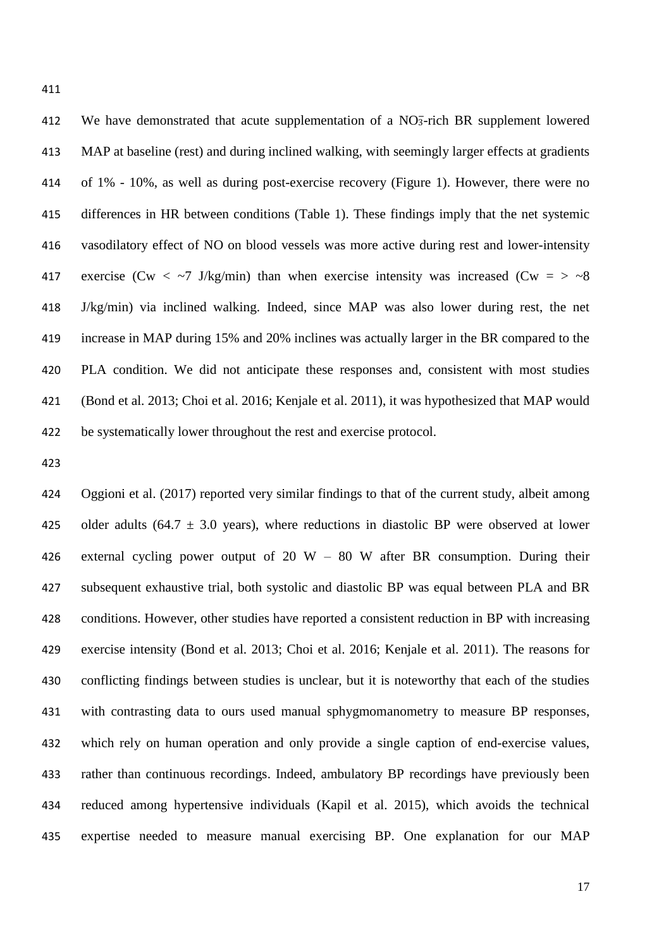412 We have demonstrated that acute supplementation of a NO<sub>3</sub>-rich BR supplement lowered MAP at baseline (rest) and during inclined walking, with seemingly larger effects at gradients of 1% - 10%, as well as during post-exercise recovery (Figure 1). However, there were no differences in HR between conditions (Table 1). These findings imply that the net systemic vasodilatory effect of NO on blood vessels was more active during rest and lower-intensity 417 exercise (Cw  $\langle$   $\sim$  7 J/kg/min) than when exercise intensity was increased (Cw =  $>$  ~8 J/kg/min) via inclined walking. Indeed, since MAP was also lower during rest, the net increase in MAP during 15% and 20% inclines was actually larger in the BR compared to the PLA condition. We did not anticipate these responses and, consistent with most studies (Bond et al. 2013; Choi et al. 2016; Kenjale et al. 2011), it was hypothesized that MAP would be systematically lower throughout the rest and exercise protocol.

 Oggioni et al. (2017) reported very similar findings to that of the current study, albeit among 425 older adults (64.7  $\pm$  3.0 years), where reductions in diastolic BP were observed at lower 426 external cycling power output of 20 W – 80 W after BR consumption. During their subsequent exhaustive trial, both systolic and diastolic BP was equal between PLA and BR conditions. However, other studies have reported a consistent reduction in BP with increasing exercise intensity (Bond et al. 2013; Choi et al. 2016; Kenjale et al. 2011). The reasons for conflicting findings between studies is unclear, but it is noteworthy that each of the studies 431 with contrasting data to ours used manual sphygmomanometry to measure BP responses, which rely on human operation and only provide a single caption of end-exercise values, rather than continuous recordings. Indeed, ambulatory BP recordings have previously been reduced among hypertensive individuals (Kapil et al. 2015), which avoids the technical expertise needed to measure manual exercising BP. One explanation for our MAP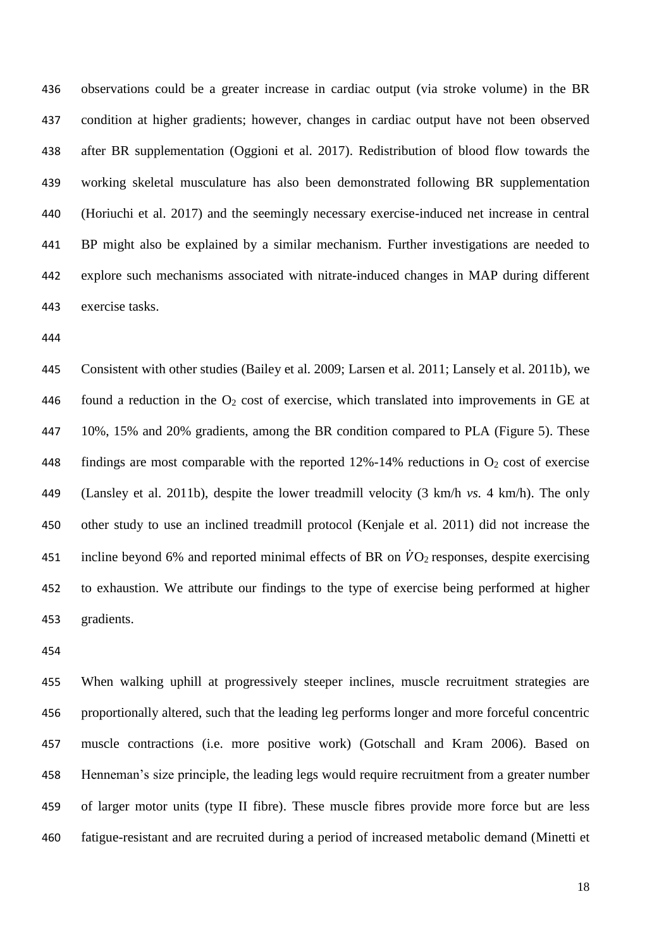observations could be a greater increase in cardiac output (via stroke volume) in the BR condition at higher gradients; however, changes in cardiac output have not been observed after BR supplementation (Oggioni et al. 2017). Redistribution of blood flow towards the working skeletal musculature has also been demonstrated following BR supplementation (Horiuchi et al. 2017) and the seemingly necessary exercise-induced net increase in central BP might also be explained by a similar mechanism. Further investigations are needed to explore such mechanisms associated with nitrate-induced changes in MAP during different exercise tasks.

 Consistent with other studies (Bailey et al. 2009; Larsen et al. 2011; Lansely et al. 2011b), we 446 found a reduction in the  $O_2$  cost of exercise, which translated into improvements in GE at 10%, 15% and 20% gradients, among the BR condition compared to PLA (Figure 5). These 448 findings are most comparable with the reported  $12\% - 14\%$  reductions in O<sub>2</sub> cost of exercise (Lansley et al. 2011b), despite the lower treadmill velocity (3 km/h *vs.* 4 km/h). The only other study to use an inclined treadmill protocol (Kenjale et al. 2011) did not increase the 451 incline beyond 6% and reported minimal effects of BR on  $\dot{V}O_2$  responses, despite exercising to exhaustion. We attribute our findings to the type of exercise being performed at higher gradients.

 When walking uphill at progressively steeper inclines, muscle recruitment strategies are proportionally altered, such that the leading leg performs longer and more forceful concentric muscle contractions (i.e. more positive work) (Gotschall and Kram 2006). Based on Henneman's size principle, the leading legs would require recruitment from a greater number of larger motor units (type II fibre). These muscle fibres provide more force but are less fatigue-resistant and are recruited during a period of increased metabolic demand (Minetti et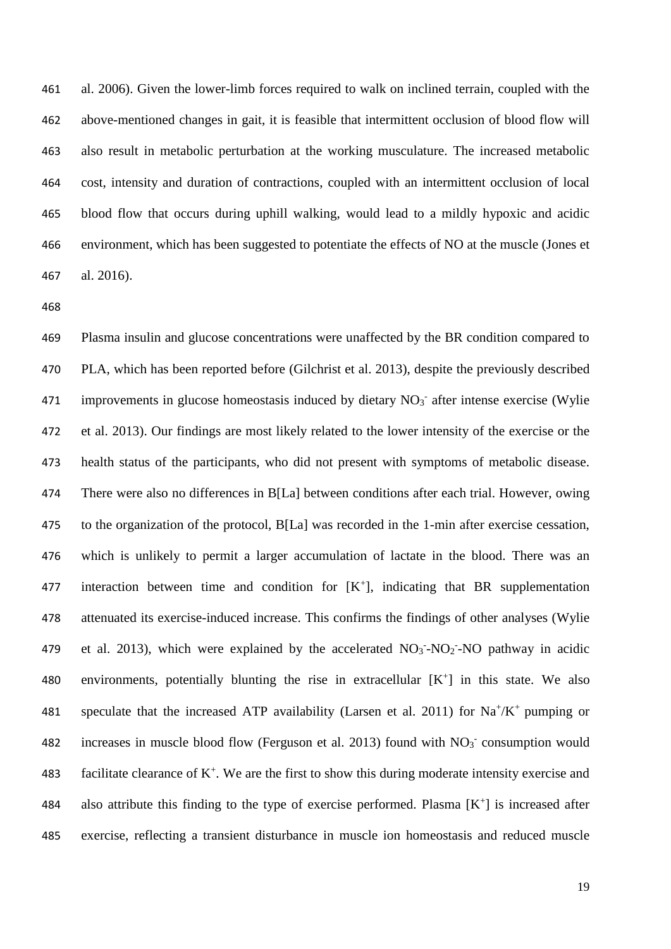al. 2006). Given the lower-limb forces required to walk on inclined terrain, coupled with the above-mentioned changes in gait, it is feasible that intermittent occlusion of blood flow will also result in metabolic perturbation at the working musculature. The increased metabolic cost, intensity and duration of contractions, coupled with an intermittent occlusion of local blood flow that occurs during uphill walking, would lead to a mildly hypoxic and acidic environment, which has been suggested to potentiate the effects of NO at the muscle (Jones et al. 2016).

 Plasma insulin and glucose concentrations were unaffected by the BR condition compared to PLA, which has been reported before (Gilchrist et al. 2013), despite the previously described 471 improvements in glucose homeostasis induced by dietary  $NO<sub>3</sub>$  after intense exercise (Wylie et al. 2013). Our findings are most likely related to the lower intensity of the exercise or the health status of the participants, who did not present with symptoms of metabolic disease. There were also no differences in B[La] between conditions after each trial. However, owing to the organization of the protocol, B[La] was recorded in the 1-min after exercise cessation, which is unlikely to permit a larger accumulation of lactate in the blood. There was an 477 interaction between time and condition for  $[K^+]$ , indicating that BR supplementation attenuated its exercise-induced increase. This confirms the findings of other analyses (Wylie 479 et al. 2013), which were explained by the accelerated  $NO<sub>3</sub>$ - $NO<sub>2</sub>$ - $NO$  pathway in acidic 480 environments, potentially blunting the rise in extracellular  $[K^+]$  in this state. We also 481 speculate that the increased ATP availability (Larsen et al. 2011) for  $\text{Na}^+/ \text{K}^+$  pumping or 482 increases in muscle blood flow (Ferguson et al. 2013) found with  $NO<sub>3</sub>$  consumption would 483 facilitate clearance of  $K^+$ . We are the first to show this during moderate intensity exercise and 484 also attribute this finding to the type of exercise performed. Plasma  $[K^+]$  is increased after exercise, reflecting a transient disturbance in muscle ion homeostasis and reduced muscle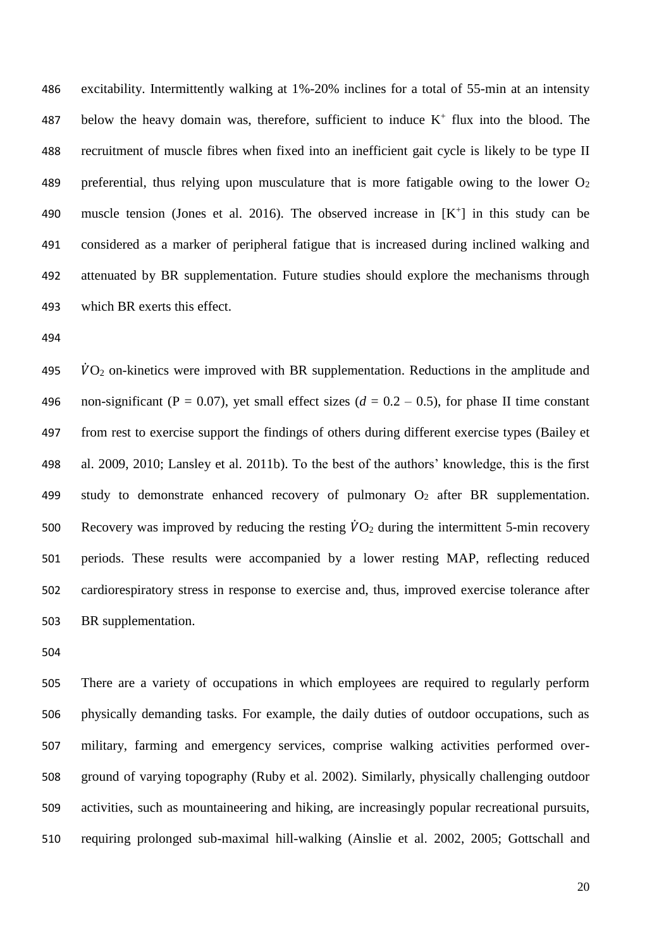excitability. Intermittently walking at 1%-20% inclines for a total of 55-min at an intensity 487 below the heavy domain was, therefore, sufficient to induce  $K^+$  flux into the blood. The recruitment of muscle fibres when fixed into an inefficient gait cycle is likely to be type II 489 preferential, thus relying upon musculature that is more fatigable owing to the lower  $O_2$ 490 muscle tension (Jones et al. 2016). The observed increase in  $[K^+]$  in this study can be considered as a marker of peripheral fatigue that is increased during inclined walking and attenuated by BR supplementation. Future studies should explore the mechanisms through which BR exerts this effect.

 $\dot{V}O_2$  on-kinetics were improved with BR supplementation. Reductions in the amplitude and 496 non-significant (P = 0.07), yet small effect sizes ( $d = 0.2 - 0.5$ ), for phase II time constant from rest to exercise support the findings of others during different exercise types (Bailey et al. 2009, 2010; Lansley et al. 2011b). To the best of the authors' knowledge, this is the first 499 study to demonstrate enhanced recovery of pulmonary  $O_2$  after BR supplementation. 500 Recovery was improved by reducing the resting  $\dot{V}O_2$  during the intermittent 5-min recovery periods. These results were accompanied by a lower resting MAP, reflecting reduced cardiorespiratory stress in response to exercise and, thus, improved exercise tolerance after BR supplementation.

 There are a variety of occupations in which employees are required to regularly perform physically demanding tasks. For example, the daily duties of outdoor occupations, such as military, farming and emergency services, comprise walking activities performed over- ground of varying topography (Ruby et al. 2002). Similarly, physically challenging outdoor activities, such as mountaineering and hiking, are increasingly popular recreational pursuits, requiring prolonged sub-maximal hill-walking (Ainslie et al. 2002, 2005; Gottschall and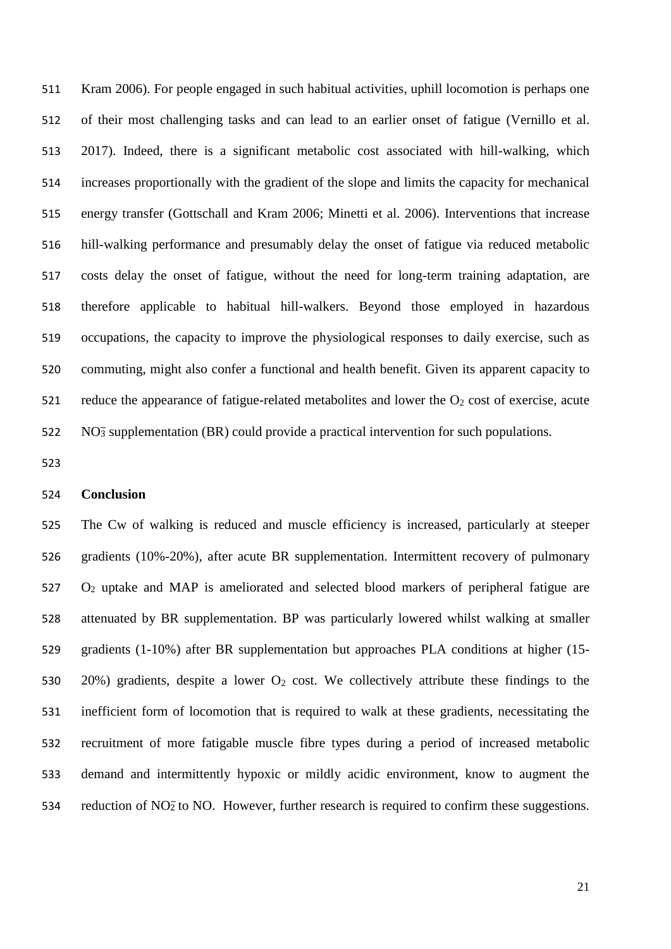Kram 2006). For people engaged in such habitual activities, uphill locomotion is perhaps one of their most challenging tasks and can lead to an earlier onset of fatigue (Vernillo et al. 2017). Indeed, there is a significant metabolic cost associated with hill-walking, which increases proportionally with the gradient of the slope and limits the capacity for mechanical energy transfer (Gottschall and Kram 2006; Minetti et al. 2006). Interventions that increase hill-walking performance and presumably delay the onset of fatigue via reduced metabolic costs delay the onset of fatigue, without the need for long-term training adaptation, are therefore applicable to habitual hill-walkers. Beyond those employed in hazardous occupations, the capacity to improve the physiological responses to daily exercise, such as commuting, might also confer a functional and health benefit. Given its apparent capacity to 521 reduce the appearance of fatigue-related metabolites and lower the  $O<sub>2</sub>$  cost of exercise, acute 522 NO<sub>3</sub><sup>supplementation (BR) could provide a practical intervention for such populations.</sup>

# **Conclusion**

 The Cw of walking is reduced and muscle efficiency is increased, particularly at steeper gradients (10%-20%), after acute BR supplementation. Intermittent recovery of pulmonary O<sup>2</sup> uptake and MAP is ameliorated and selected blood markers of peripheral fatigue are attenuated by BR supplementation. BP was particularly lowered whilst walking at smaller gradients (1-10%) after BR supplementation but approaches PLA conditions at higher (15- 530 20%) gradients, despite a lower  $O_2$  cost. We collectively attribute these findings to the inefficient form of locomotion that is required to walk at these gradients, necessitating the recruitment of more fatigable muscle fibre types during a period of increased metabolic demand and intermittently hypoxic or mildly acidic environment, know to augment the 534 reduction of  $NO<sub>2</sub>$  to NO. However, further research is required to confirm these suggestions.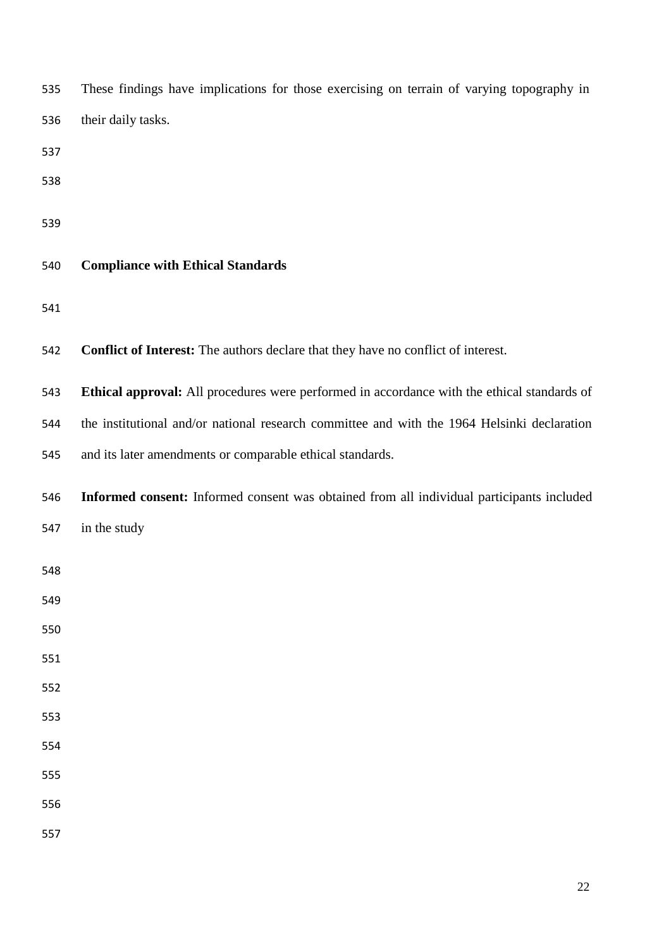| 535 | These findings have implications for those exercising on terrain of varying topography in   |
|-----|---------------------------------------------------------------------------------------------|
| 536 | their daily tasks.                                                                          |
| 537 |                                                                                             |
| 538 |                                                                                             |
| 539 |                                                                                             |
|     |                                                                                             |
| 540 | <b>Compliance with Ethical Standards</b>                                                    |
| 541 |                                                                                             |
| 542 | Conflict of Interest: The authors declare that they have no conflict of interest.           |
|     |                                                                                             |
| 543 | Ethical approval: All procedures were performed in accordance with the ethical standards of |
| 544 | the institutional and/or national research committee and with the 1964 Helsinki declaration |
| 545 | and its later amendments or comparable ethical standards.                                   |
|     |                                                                                             |
| 546 | Informed consent: Informed consent was obtained from all individual participants included   |
| 547 | in the study                                                                                |
| 548 |                                                                                             |
| 549 |                                                                                             |
| 550 |                                                                                             |
| 551 |                                                                                             |
| 552 |                                                                                             |
| 553 |                                                                                             |
| 554 |                                                                                             |
| 555 |                                                                                             |
| 556 |                                                                                             |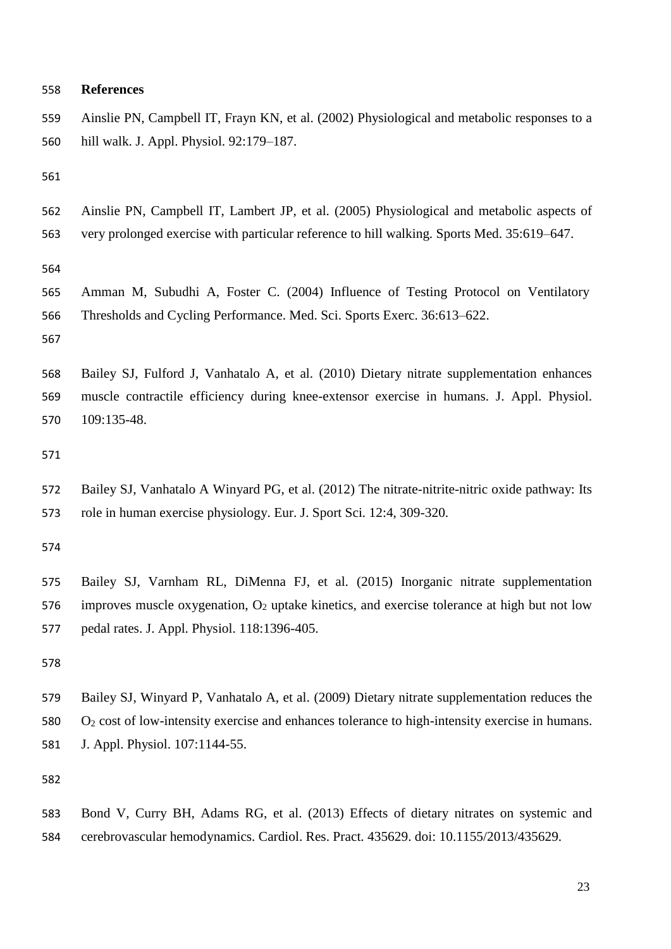### **References**

 Ainslie PN, Campbell IT, Frayn KN, et al. (2002) Physiological and metabolic responses to a hill walk. J. Appl. Physiol. 92:179–187.

- Ainslie PN, Campbell IT, Lambert JP, et al. (2005) Physiological and metabolic aspects of very prolonged exercise with particular reference to hill walking. Sports Med. 35:619–647.
- 
- Amman M, Subudhi A, Foster C. (2004) Influence of Testing Protocol on Ventilatory Thresholds and Cycling Performance. Med. Sci. Sports Exerc. 36:613–622.
- Bailey SJ, Fulford J, Vanhatalo A, et al. (2010) Dietary nitrate supplementation enhances muscle contractile efficiency during knee-extensor exercise in humans. J. Appl. Physiol. 109:135-48.

 Bailey SJ, Vanhatalo A Winyard PG, et al. (2012) The nitrate-nitrite-nitric oxide pathway: Its role in human exercise physiology. Eur. J. Sport Sci. 12:4, 309-320.

 Bailey SJ, Varnham RL, DiMenna FJ, et al. (2015) Inorganic nitrate supplementation 576 improves muscle oxygenation,  $O_2$  uptake kinetics, and exercise tolerance at high but not low pedal rates. J. Appl. Physiol. 118:1396-405.

- Bailey SJ, Winyard P, Vanhatalo A, et al. (2009) Dietary nitrate supplementation reduces the
- O<sup>2</sup> cost of low-intensity exercise and enhances tolerance to high-intensity exercise in humans.

J. Appl. Physiol. 107:1144-55.

 Bond V, Curry BH, Adams RG, et al. (2013) Effects of dietary nitrates on systemic and cerebrovascular hemodynamics. Cardiol. Res. Pract. 435629. doi: 10.1155/2013/435629.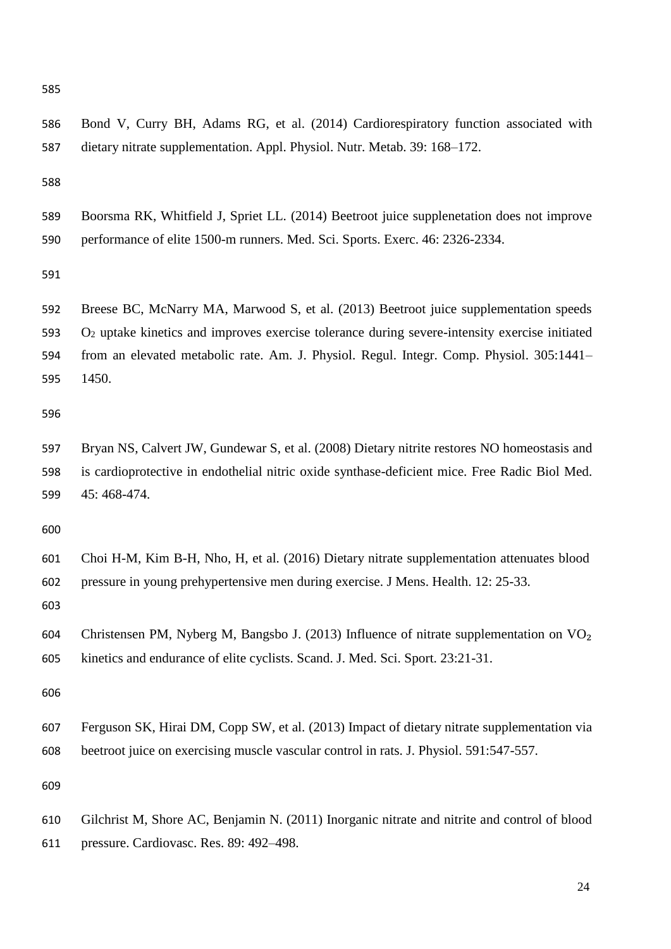```
585
```

| 586<br>587                      | Bond V, Curry BH, Adams RG, et al. (2014) Cardiorespiratory function associated with<br>dietary nitrate supplementation. Appl. Physiol. Nutr. Metab. 39: 168-172.                                                                                                                             |
|---------------------------------|-----------------------------------------------------------------------------------------------------------------------------------------------------------------------------------------------------------------------------------------------------------------------------------------------|
| 588                             |                                                                                                                                                                                                                                                                                               |
| 589<br>590<br>591               | Boorsma RK, Whitfield J, Spriet LL. (2014) Beetroot juice supplenetation does not improve<br>performance of elite 1500-m runners. Med. Sci. Sports. Exerc. 46: 2326-2334.                                                                                                                     |
| 592<br>593<br>594<br>595<br>596 | Breese BC, McNarry MA, Marwood S, et al. (2013) Beetroot juice supplementation speeds<br>$O2$ uptake kinetics and improves exercise tolerance during severe-intensity exercise initiated<br>from an elevated metabolic rate. Am. J. Physiol. Regul. Integr. Comp. Physiol. 305:1441-<br>1450. |
| 597<br>598<br>599               | Bryan NS, Calvert JW, Gundewar S, et al. (2008) Dietary nitrite restores NO homeostasis and<br>is cardioprotective in endothelial nitric oxide synthase-deficient mice. Free Radic Biol Med.<br>45: 468-474.                                                                                  |
| 600<br>601<br>602<br>603        | Choi H-M, Kim B-H, Nho, H, et al. (2016) Dietary nitrate supplementation attenuates blood<br>pressure in young prehypertensive men during exercise. J Mens. Health. 12: 25-33.                                                                                                                |
| 604<br>605                      | Christensen PM, Nyberg M, Bangsbo J. (2013) Influence of nitrate supplementation on $VO2$<br>kinetics and endurance of elite cyclists. Scand. J. Med. Sci. Sport. 23:21-31.                                                                                                                   |
| 606                             |                                                                                                                                                                                                                                                                                               |
| 607<br>608<br>609               | Ferguson SK, Hirai DM, Copp SW, et al. (2013) Impact of dietary nitrate supplementation via<br>bettroot juice on exercising muscle vascular control in rats. J. Physiol. 591:547-557.                                                                                                         |
| 610<br>611                      | Gilchrist M, Shore AC, Benjamin N. (2011) Inorganic nitrate and nitrite and control of blood<br>pressure. Cardiovasc. Res. 89: 492–498.                                                                                                                                                       |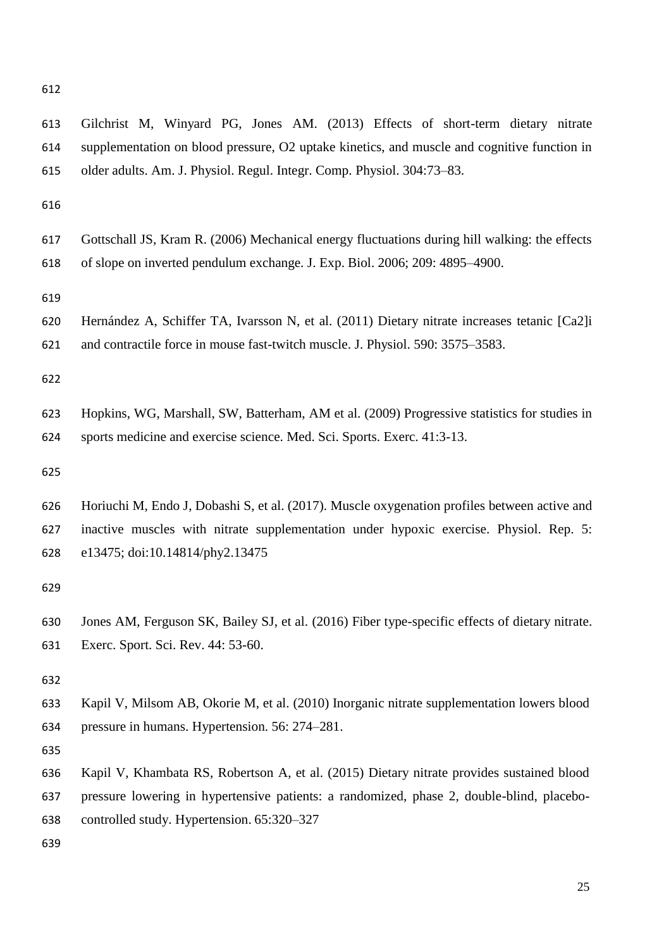| 613 | Gilchrist M, Winyard PG, Jones AM. (2013) Effects of short-term dietary nitrate                 |
|-----|-------------------------------------------------------------------------------------------------|
| 614 | supplementation on blood pressure, O2 uptake kinetics, and muscle and cognitive function in     |
| 615 | older adults. Am. J. Physiol. Regul. Integr. Comp. Physiol. 304:73-83.                          |
| 616 |                                                                                                 |
| 617 | Gottschall JS, Kram R. (2006) Mechanical energy fluctuations during hill walking: the effects   |
| 618 | of slope on inverted pendulum exchange. J. Exp. Biol. 2006; 209: 4895–4900.                     |
| 619 |                                                                                                 |
| 620 | Hernández A, Schiffer TA, Ivarsson N, et al. (2011) Dietary nitrate increases tetanic [Ca2]i    |
| 621 | and contractile force in mouse fast-twitch muscle. J. Physiol. 590: 3575–3583.                  |
| 622 |                                                                                                 |
| 623 | Hopkins, WG, Marshall, SW, Batterham, AM et al. (2009) Progressive statistics for studies in    |
| 624 | sports medicine and exercise science. Med. Sci. Sports. Exerc. 41:3-13.                         |
| 625 |                                                                                                 |
| 626 | Horiuchi M, Endo J, Dobashi S, et al. (2017). Muscle oxygenation profiles between active and    |
| 627 | inactive muscles with nitrate supplementation under hypoxic exercise. Physiol. Rep. 5:          |
| 628 | e13475; doi:10.14814/phy2.13475                                                                 |
| 629 |                                                                                                 |
| 630 | Jones AM, Ferguson SK, Bailey SJ, et al. (2016) Fiber type-specific effects of dietary nitrate. |
| 631 | Exerc. Sport. Sci. Rev. 44: 53-60.                                                              |
| 632 |                                                                                                 |
| 633 | Kapil V, Milsom AB, Okorie M, et al. (2010) Inorganic nitrate supplementation lowers blood      |
| 634 | pressure in humans. Hypertension. 56: 274–281.                                                  |
| 635 |                                                                                                 |
| 636 | Kapil V, Khambata RS, Robertson A, et al. (2015) Dietary nitrate provides sustained blood       |
| 637 | pressure lowering in hypertensive patients: a randomized, phase 2, double-blind, placebo-       |
| 638 | controlled study. Hypertension. 65:320–327                                                      |
| 639 |                                                                                                 |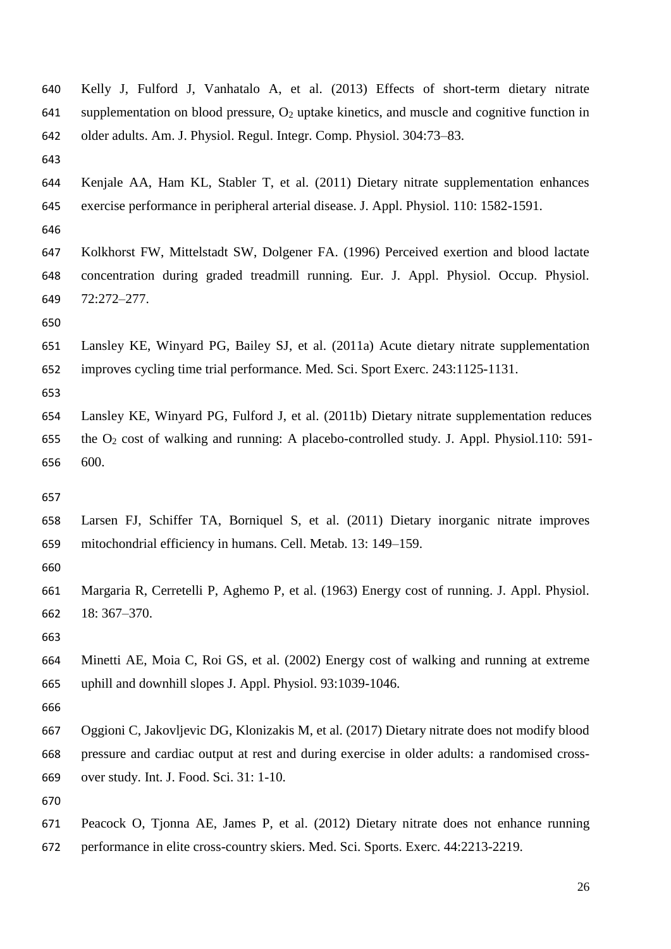- Kelly J, Fulford J, Vanhatalo A, et al. (2013) Effects of short-term dietary nitrate 641 supplementation on blood pressure,  $O_2$  uptake kinetics, and muscle and cognitive function in older adults. Am. J. Physiol. Regul. Integr. Comp. Physiol. 304:73–83.
- 
- Kenjale AA, Ham KL, Stabler T, et al. (2011) Dietary nitrate supplementation enhances exercise performance in peripheral arterial disease. J. Appl. Physiol. 110: 1582-1591.
- 
- Kolkhorst FW, Mittelstadt SW, Dolgener FA. (1996) Perceived exertion and blood lactate concentration during graded treadmill running. Eur. J. Appl. Physiol. Occup. Physiol. 72:272–277.
- 
- Lansley KE, Winyard PG, Bailey SJ, et al. (2011a) Acute dietary nitrate supplementation improves cycling time trial performance. Med. Sci. Sport Exerc. 243:1125-1131.
- 
- Lansley KE, Winyard PG, Fulford J, et al. (2011b) Dietary nitrate supplementation reduces 655 the  $O_2$  cost of walking and running: A placebo-controlled study. J. Appl. Physiol.110: 591-600.
- 
- Larsen FJ, Schiffer TA, Borniquel S, et al. (2011) Dietary inorganic nitrate improves mitochondrial efficiency in humans. Cell. Metab. 13: 149–159.
- 
- Margaria R, Cerretelli P, Aghemo P, et al. (1963) Energy cost of running. J. Appl. Physiol. 18: 367–370.
- 
- Minetti AE, Moia C, Roi GS, et al. (2002) Energy cost of walking and running at extreme uphill and downhill slopes J. Appl. Physiol. 93:1039-1046.
- 
- Oggioni C, Jakovljevic DG, Klonizakis M, et al. (2017) Dietary nitrate does not modify blood pressure and cardiac output at rest and during exercise in older adults: a randomised cross-over study. Int. J. Food. Sci. 31: 1-10.
- 
- Peacock O, Tjonna AE, James P, et al. (2012) Dietary nitrate does not enhance running performance in elite cross-country skiers. Med. Sci. Sports. Exerc. 44:2213-2219.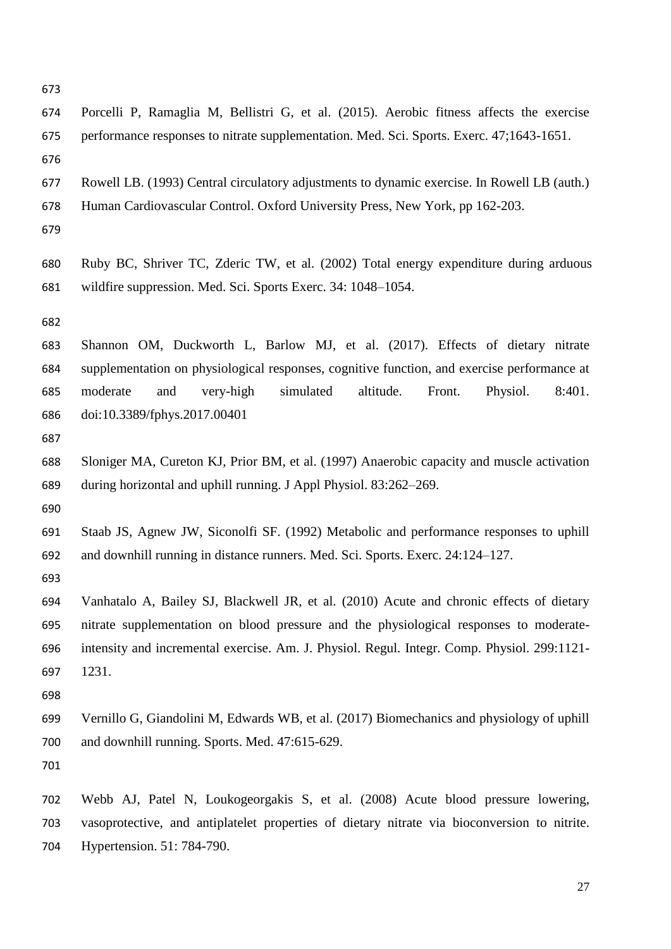| 674 | Porcelli P, Ramaglia M, Bellistri G, et al. (2015). Aerobic fitness affects the exercise     |
|-----|----------------------------------------------------------------------------------------------|
| 675 | performance responses to nitrate supplementation. Med. Sci. Sports. Exerc. 47;1643-1651.     |
| 676 |                                                                                              |
| 677 | Rowell LB. (1993) Central circulatory adjustments to dynamic exercise. In Rowell LB (auth.)  |
| 678 | Human Cardiovascular Control. Oxford University Press, New York, pp 162-203.                 |
| 679 |                                                                                              |
| 680 | Ruby BC, Shriver TC, Zderic TW, et al. (2002) Total energy expenditure during arduous        |
| 681 | wildfire suppression. Med. Sci. Sports Exerc. 34: 1048–1054.                                 |
| 682 |                                                                                              |
| 683 | Shannon OM, Duckworth L, Barlow MJ, et al. (2017). Effects of dietary nitrate                |
| 684 | supplementation on physiological responses, cognitive function, and exercise performance at  |
| 685 | simulated<br>altitude.<br>moderate<br>and<br>very-high<br>Front.<br>Physiol.<br>8:401.       |
| 686 | doi:10.3389/fphys.2017.00401                                                                 |
| 687 |                                                                                              |
| 688 | Sloniger MA, Cureton KJ, Prior BM, et al. (1997) Anaerobic capacity and muscle activation    |
| 689 | during horizontal and uphill running. J Appl Physiol. 83:262–269.                            |
| 690 |                                                                                              |
| 691 | Staab JS, Agnew JW, Siconolfi SF. (1992) Metabolic and performance responses to uphill       |
| 692 | and downhill running in distance runners. Med. Sci. Sports. Exerc. 24:124–127.               |
| 693 |                                                                                              |
| 694 | Vanhatalo A, Bailey SJ, Blackwell JR, et al. (2010) Acute and chronic effects of dietary     |
| 695 | nitrate supplementation on blood pressure and the physiological responses to moderate-       |
| 696 | intensity and incremental exercise. Am. J. Physiol. Regul. Integr. Comp. Physiol. 299:1121-  |
| 697 | 1231.                                                                                        |
| 698 |                                                                                              |
| 699 | Vernillo G, Giandolini M, Edwards WB, et al. (2017) Biomechanics and physiology of uphill    |
| 700 | and downhill running. Sports. Med. 47:615-629.                                               |
| 701 |                                                                                              |
| 702 | Webb AJ, Patel N, Loukogeorgakis S, et al. (2008) Acute blood pressure lowering,             |
| 703 | vasoprotective, and antiplatelet properties of dietary nitrate via bioconversion to nitrite. |
|     |                                                                                              |

Hypertension. 51: 784-790.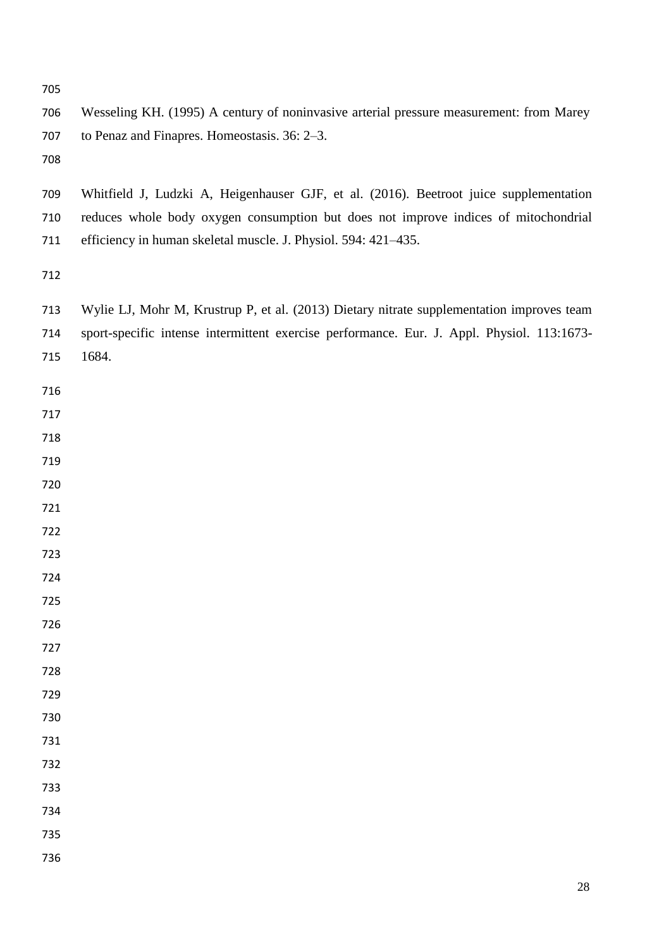Wesseling KH. (1995) A century of noninvasive arterial pressure measurement: from Marey to Penaz and Finapres. Homeostasis. 36: 2–3. Whitfield J, Ludzki A, Heigenhauser GJF, et al. (2016). Beetroot juice supplementation reduces whole body oxygen consumption but does not improve indices of mitochondrial efficiency in human skeletal muscle. J. Physiol. 594: 421–435. Wylie LJ, Mohr M, Krustrup P, et al. (2013) Dietary nitrate supplementation improves team sport-specific intense intermittent exercise performance. Eur. J. Appl. Physiol. 113:1673- 1684. 

- 
- 
- 
- 
- 
- 
- 
- 
-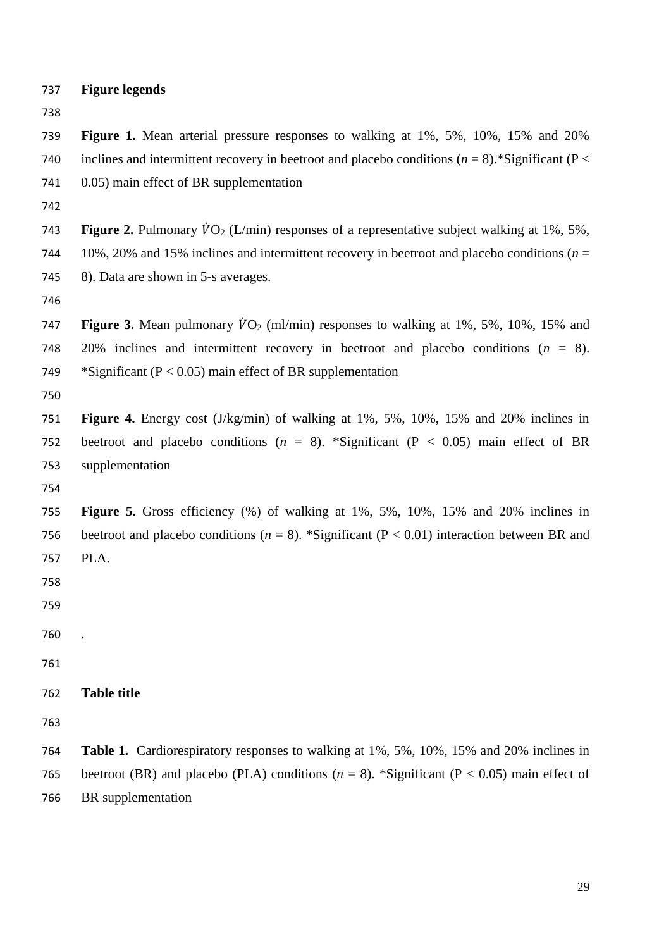| 737 | <b>Figure legends</b>                                                                                |
|-----|------------------------------------------------------------------------------------------------------|
| 738 |                                                                                                      |
| 739 | Figure 1. Mean arterial pressure responses to walking at 1%, 5%, 10%, 15% and 20%                    |
| 740 | inclines and intermittent recovery in beetroot and placebo conditions ( $n = 8$ ). "Significant (P < |
| 741 | 0.05) main effect of BR supplementation                                                              |
| 742 |                                                                                                      |
| 743 | Figure 2. Pulmonary $\dot{V}O_2$ (L/min) responses of a representative subject walking at 1%, 5%,    |
| 744 | 10%, 20% and 15% inclines and intermittent recovery in beetroot and placebo conditions ( $n =$       |
| 745 | 8). Data are shown in 5-s averages.                                                                  |
| 746 |                                                                                                      |
| 747 | <b>Figure 3.</b> Mean pulmonary $\dot{V}O_2$ (ml/min) responses to walking at 1%, 5%, 10%, 15% and   |
| 748 | 20% inclines and intermittent recovery in beetroot and placebo conditions $(n = 8)$ .                |
| 749 | *Significant ( $P < 0.05$ ) main effect of BR supplementation                                        |
| 750 |                                                                                                      |
| 751 | Figure 4. Energy cost (J/kg/min) of walking at 1%, 5%, 10%, 15% and 20% inclines in                  |
| 752 | betroot and placebo conditions ( $n = 8$ ). *Significant ( $P < 0.05$ ) main effect of BR            |
| 753 | supplementation                                                                                      |
| 754 |                                                                                                      |
| 755 | Figure 5. Gross efficiency (%) of walking at 1%, 5%, 10%, 15% and 20% inclines in                    |
| 756 | betroot and placebo conditions ( $n = 8$ ). *Significant ( $P < 0.01$ ) interaction between BR and   |
| 757 | PLA.                                                                                                 |
| 758 |                                                                                                      |
| 759 |                                                                                                      |
| 760 |                                                                                                      |
| 761 |                                                                                                      |
| 762 | <b>Table title</b>                                                                                   |
| 763 |                                                                                                      |
| 764 | <b>Table 1.</b> Cardiorespiratory responses to walking at 1%, 5%, 10%, 15% and 20% inclines in       |
| 765 | beetroot (BR) and placebo (PLA) conditions ( $n = 8$ ). *Significant ( $P < 0.05$ ) main effect of   |
| 766 | BR supplementation                                                                                   |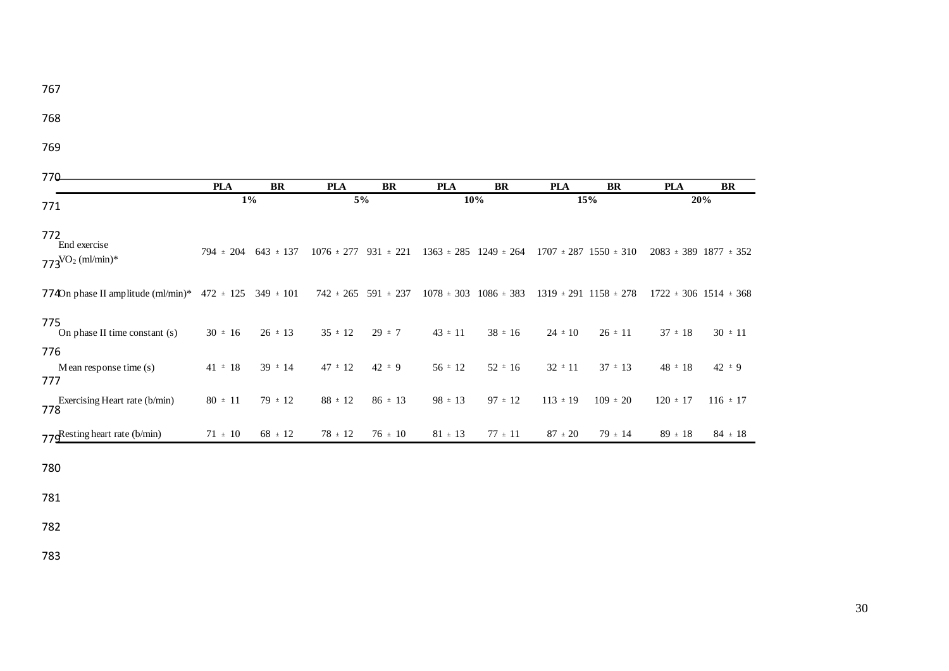- 
- 

| 770                                                         | <b>PLA</b>    | <b>BR</b>     | <b>PLA</b>     | <b>BR</b>                   | <b>PLA</b>     | <b>BR</b>                     | <b>PLA</b>   | <b>BR</b>                     | <b>PLA</b>   | <b>BR</b>                     |
|-------------------------------------------------------------|---------------|---------------|----------------|-----------------------------|----------------|-------------------------------|--------------|-------------------------------|--------------|-------------------------------|
| 771                                                         | $1\%$         |               | 5%             |                             | 10%            |                               | 15%          |                               | 20%          |                               |
| 772<br>End exercise<br>$773^{\text{VO}_2 \text{(ml/min)}*}$ | $794 \pm 204$ | $643 \pm 137$ | $1076 \pm 277$ | $931 \pm 221$               |                | $1363 \pm 285$ $1249 \pm 264$ |              | $1707 \pm 287$ 1550 $\pm$ 310 |              | $2083 \pm 389$ 1877 $\pm 352$ |
| 7740n phase II amplitude (ml/min)* $472 \pm 125$            |               | $349 \pm 101$ |                | $742 \pm 265$ 591 $\pm 237$ | $1078 \pm 303$ | $1086 \pm 383$                |              | $1319 \pm 291$ 1158 $\pm 278$ |              | $1722 \pm 306$ 1514 $\pm 368$ |
| 775<br>On phase II time constant (s)<br>776                 | $30 \pm 16$   | $26 \pm 13$   | $35 \pm 12$    | $29 \pm 7$                  | $43 \pm 11$    | $38 \pm 16$                   | $24 \pm 10$  | $26 \pm 11$                   | $37 \pm 18$  | $30 \pm 11$                   |
| Mean response time (s)<br>777                               | $41 \pm 18$   | $39 \pm 14$   | $47 \pm 12$    | $42 \pm 9$                  | $56 \pm 12$    | $52 \pm 16$                   | $32 \pm 11$  | $37 \pm 13$                   | $48 \pm 18$  | $42 \pm 9$                    |
| Exercising Heart rate (b/min)<br>778                        | $80 \pm 11$   | $79 \pm 12$   | $88 \pm 12$    | $86 \pm 13$                 | $98 \pm 13$    | $97 \pm 12$                   | $113 \pm 19$ | $109 \pm 20$                  | $120 \pm 17$ | $116 \pm 17$                  |
| 779 Resting heart rate (b/min)                              | $71 \pm 10$   | $68 \pm 12$   | $78 \pm 12$    | $76 \pm 10$                 | $81 \pm 13$    | $77 \pm 11$                   | $87 \pm 20$  | $79 \pm 14$                   | $89 \pm 18$  | $84 \pm 18$                   |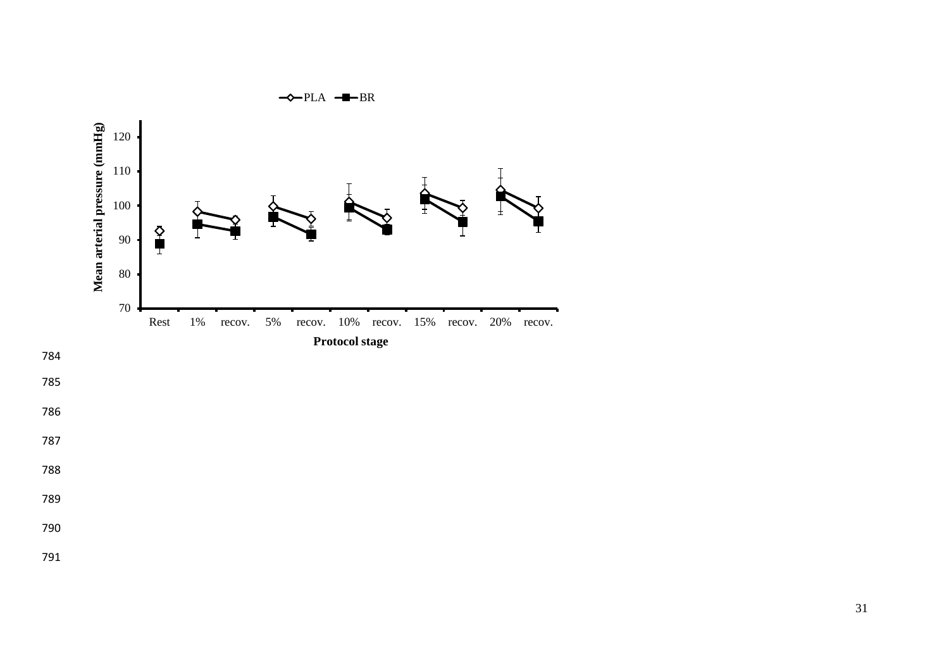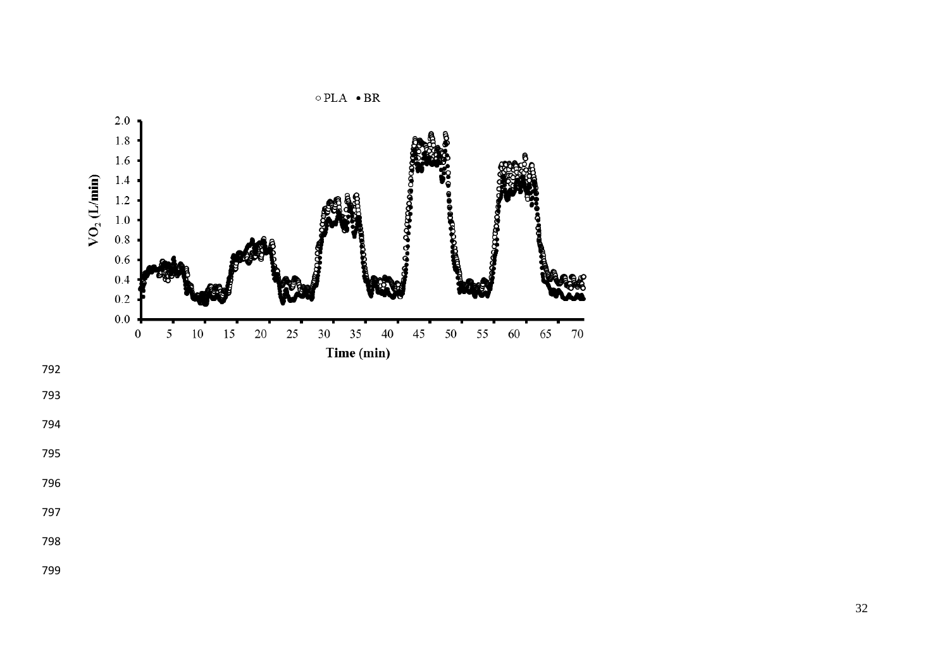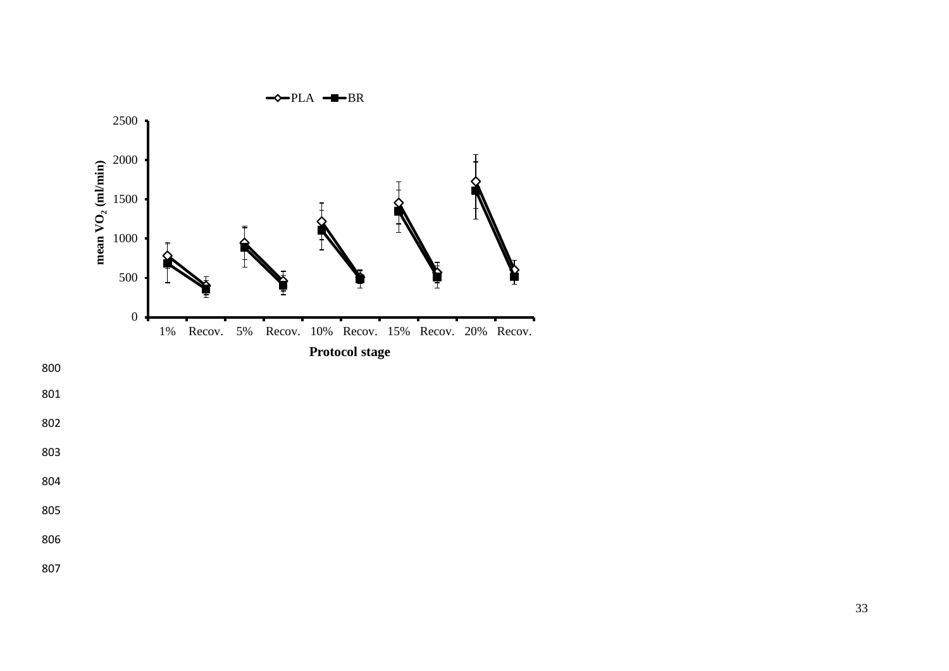



- 
-